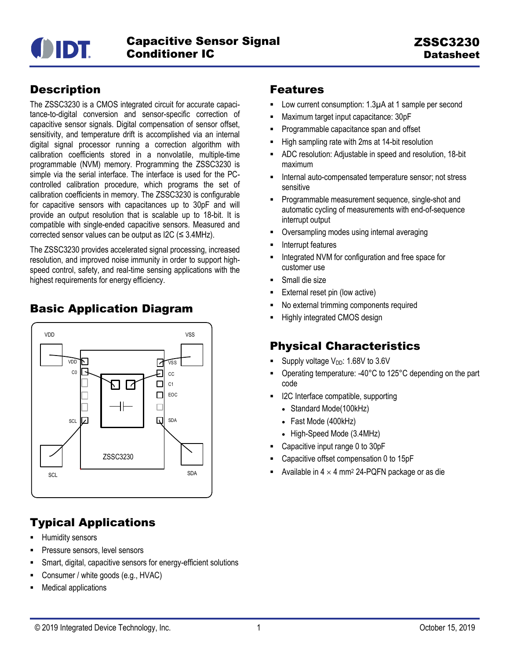

## **Description**

The ZSSC3230 is a CMOS integrated circuit for accurate capacitance-to-digital conversion and sensor-specific correction of capacitive sensor signals. Digital compensation of sensor offset, sensitivity, and temperature drift is accomplished via an internal digital signal processor running a correction algorithm with calibration coefficients stored in a nonvolatile, multiple-time programmable (NVM) memory. Programming the ZSSC3230 is simple via the serial interface. The interface is used for the PCcontrolled calibration procedure, which programs the set of calibration coefficients in memory. The ZSSC3230 is configurable for capacitive sensors with capacitances up to 30pF and will provide an output resolution that is scalable up to 18-bit. It is compatible with single-ended capacitive sensors. Measured and corrected sensor values can be output as I2C ( $\leq$  3.4MHz).

The ZSSC3230 provides accelerated signal processing, increased resolution, and improved noise immunity in order to support highspeed control, safety, and real-time sensing applications with the highest requirements for energy efficiency.

## Basic Application Diagram



## Typical Applications

- Humidity sensors
- Pressure sensors, level sensors
- Smart, digital, capacitive sensors for energy-efficient solutions
- Consumer / white goods (e.g., HVAC)
- Medical applications

### Features

- Low current consumption: 1.3µA at 1 sample per second
- Maximum target input capacitance: 30pF
- Programmable capacitance span and offset
- High sampling rate with 2ms at 14-bit resolution
- ADC resolution: Adjustable in speed and resolution, 18-bit maximum
- Internal auto-compensated temperature sensor; not stress sensitive
- **Programmable measurement sequence, single-shot and** automatic cycling of measurements with end-of-sequence interrupt output
- Oversampling modes using internal averaging
- Interrupt features
- Integrated NVM for configuration and free space for customer use
- Small die size
- External reset pin (low active)
- No external trimming components required
- Highly integrated CMOS design

## Physical Characteristics

- Supply voltage  $V_{DD}$ : 1.68V to 3.6V
- Operating temperature: -40°C to 125°C depending on the part code
- I2C Interface compatible, supporting
	- Standard Mode(100kHz)
	- Fast Mode (400kHz)
	- High-Speed Mode (3.4MHz)
- Capacitive input range 0 to 30pF
- Capacitive offset compensation 0 to 15pF
- Available in  $4 \times 4$  mm<sup>2</sup> 24-PQFN package or as die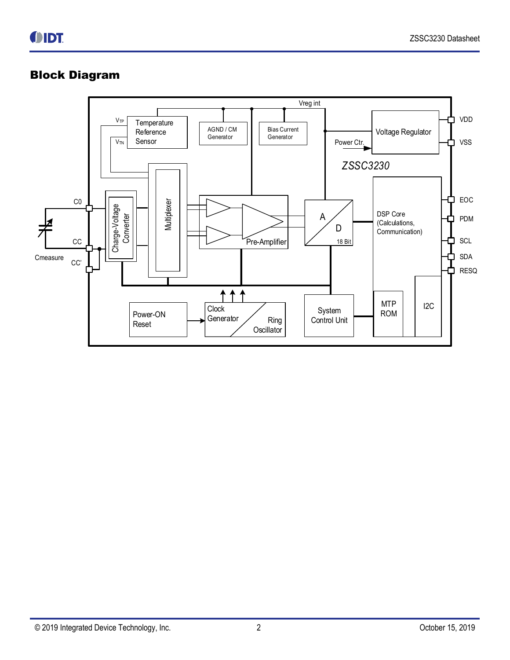## Block Diagram

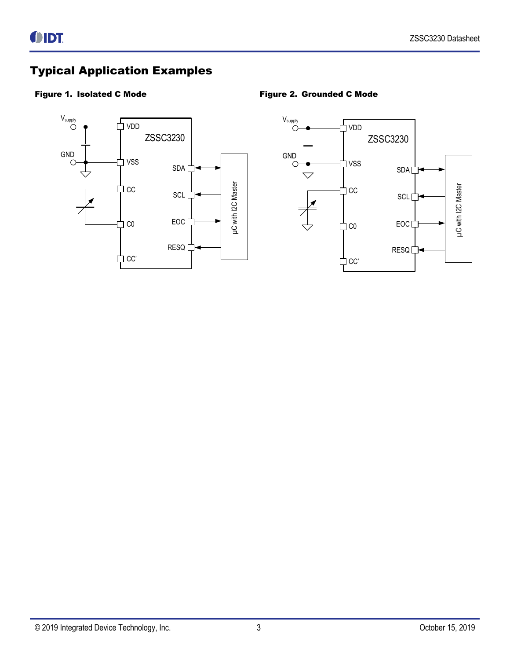## Typical Application Examples

### <span id="page-2-0"></span>Figure 1. Isolated C Mode **Figure 2. Grounded C Mode**



<span id="page-2-1"></span>

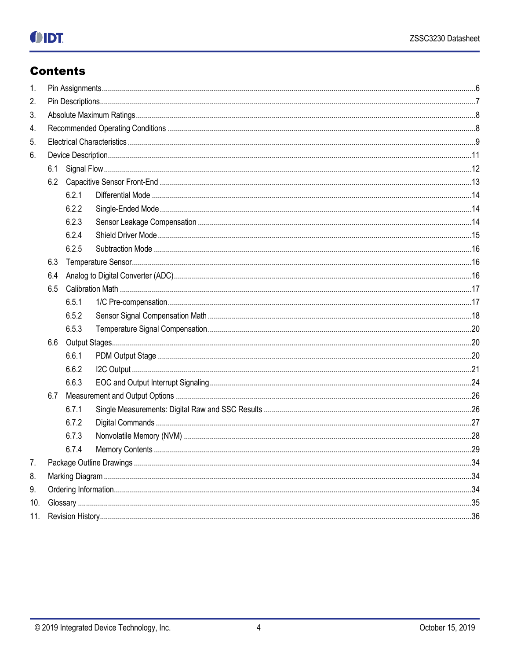# **OIDT**

## **Contents**

| 1.  |     |       |  |  |  |  |
|-----|-----|-------|--|--|--|--|
| 2.  |     |       |  |  |  |  |
| 3.  |     |       |  |  |  |  |
| 4.  |     |       |  |  |  |  |
| 5.  |     |       |  |  |  |  |
| 6.  |     |       |  |  |  |  |
|     | 6.1 |       |  |  |  |  |
|     |     |       |  |  |  |  |
|     |     | 6.2.1 |  |  |  |  |
|     |     | 6.2.2 |  |  |  |  |
|     |     | 6.2.3 |  |  |  |  |
|     |     | 6.2.4 |  |  |  |  |
|     |     | 6.2.5 |  |  |  |  |
|     | 6.3 |       |  |  |  |  |
|     | 6.4 |       |  |  |  |  |
|     | 6.5 |       |  |  |  |  |
|     |     | 6.5.1 |  |  |  |  |
|     |     | 6.5.2 |  |  |  |  |
|     |     | 6.5.3 |  |  |  |  |
|     | 6.6 |       |  |  |  |  |
|     |     | 6.6.1 |  |  |  |  |
|     |     | 6.6.2 |  |  |  |  |
|     |     | 6.6.3 |  |  |  |  |
|     | 6.7 |       |  |  |  |  |
|     |     | 6.7.1 |  |  |  |  |
|     |     | 6.7.2 |  |  |  |  |
|     |     | 6.7.3 |  |  |  |  |
|     |     | 6.7.4 |  |  |  |  |
| 7.  |     |       |  |  |  |  |
| 8.  |     |       |  |  |  |  |
| 9.  |     |       |  |  |  |  |
| 10. |     |       |  |  |  |  |
| 11. |     |       |  |  |  |  |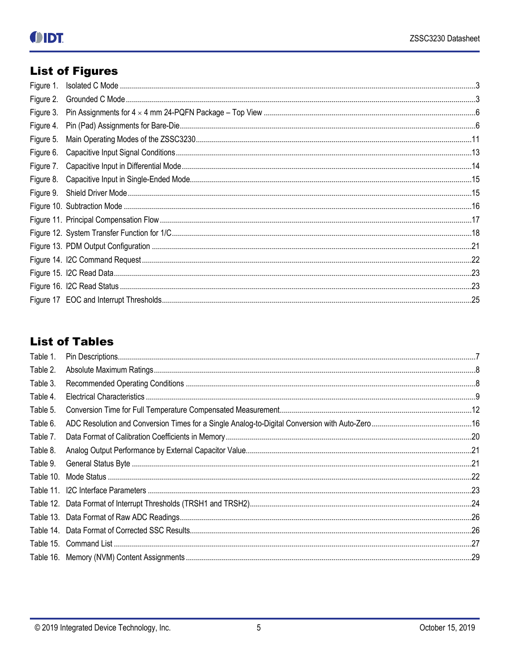# **List of Figures**

| Figure 1. |  |
|-----------|--|
| Figure 2. |  |
| Figure 3. |  |
| Figure 4. |  |
| Figure 5. |  |
| Figure 6. |  |
| Figure 7. |  |
| Figure 8. |  |
|           |  |
|           |  |
|           |  |
|           |  |
|           |  |
|           |  |
|           |  |
|           |  |
|           |  |

## **List of Tables**

| Table 1.  |  |
|-----------|--|
| Table 2.  |  |
| Table 3.  |  |
| Table 4.  |  |
| Table 5.  |  |
| Table 6.  |  |
| Table 7.  |  |
| Table 8.  |  |
| Table 9.  |  |
| Table 10. |  |
|           |  |
|           |  |
|           |  |
|           |  |
|           |  |
|           |  |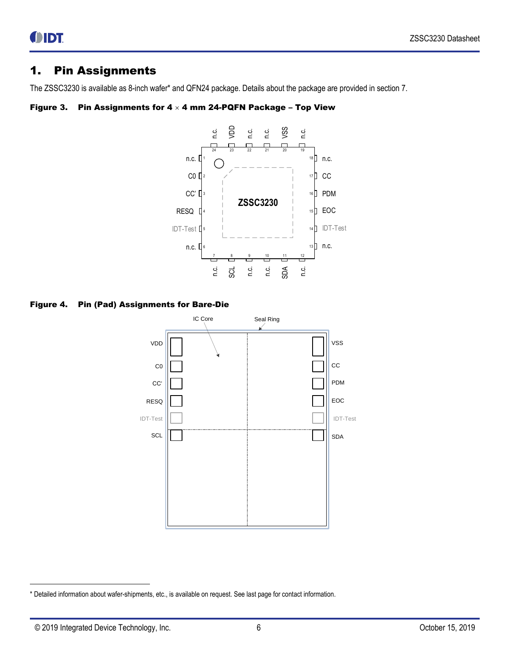### <span id="page-5-0"></span>1. Pin Assignments

The ZSSC3230 is available as 8-inch wafer\* and QFN24 package. Details about the package are provided in section [7.](#page-33-0)

#### <span id="page-5-1"></span>Figure 3. Pin Assignments for  $4 \times 4$  mm 24-PQFN Package - Top View



<span id="page-5-2"></span>Figure 4. Pin (Pad) Assignments for Bare-Die



l

<sup>\*</sup> Detailed information about wafer-shipments, etc., is available on request. See last page for contact information.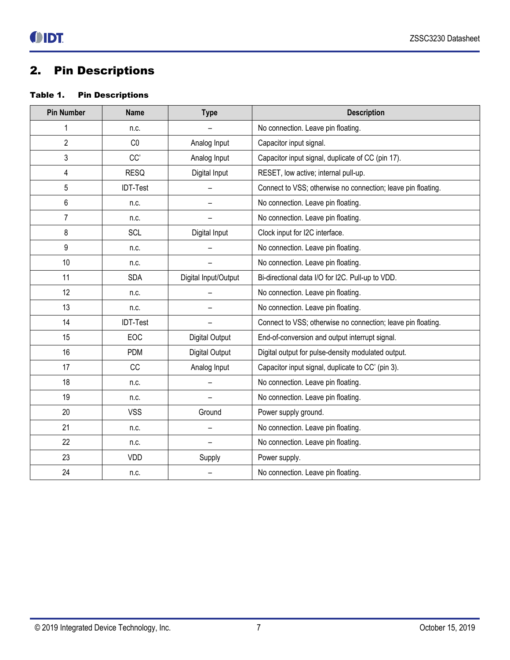## <span id="page-6-0"></span>2. Pin Descriptions

### <span id="page-6-1"></span>Table 1. Pin Descriptions

| <b>Pin Number</b> | <b>Name</b>     | <b>Type</b>           | <b>Description</b>                                           |
|-------------------|-----------------|-----------------------|--------------------------------------------------------------|
| 1                 | n.c.            |                       | No connection. Leave pin floating.                           |
| $\overline{2}$    | CO              | Analog Input          | Capacitor input signal.                                      |
| 3                 | CC'             | Analog Input          | Capacitor input signal, duplicate of CC (pin 17).            |
| 4                 | <b>RESQ</b>     | Digital Input         | RESET, low active; internal pull-up.                         |
| 5                 | <b>IDT-Test</b> |                       | Connect to VSS; otherwise no connection; leave pin floating. |
| 6                 | n.c.            |                       | No connection. Leave pin floating.                           |
| $\overline{7}$    | n.c.            |                       | No connection. Leave pin floating.                           |
| 8                 | <b>SCL</b>      | Digital Input         | Clock input for I2C interface.                               |
| 9                 | n.c.            |                       | No connection. Leave pin floating.                           |
| 10                | n.c.            |                       | No connection. Leave pin floating.                           |
| 11                | <b>SDA</b>      | Digital Input/Output  | Bi-directional data I/O for I2C. Pull-up to VDD.             |
| 12                | n.c.            |                       | No connection. Leave pin floating.                           |
| 13                | n.c.            |                       | No connection. Leave pin floating.                           |
| 14                | <b>IDT-Test</b> |                       | Connect to VSS; otherwise no connection; leave pin floating. |
| 15                | <b>EOC</b>      | <b>Digital Output</b> | End-of-conversion and output interrupt signal.               |
| 16                | <b>PDM</b>      | Digital Output        | Digital output for pulse-density modulated output.           |
| 17                | CC              | Analog Input          | Capacitor input signal, duplicate to CC' (pin 3).            |
| 18                | n.c.            |                       | No connection. Leave pin floating.                           |
| 19                | n.c.            |                       | No connection. Leave pin floating.                           |
| 20                | <b>VSS</b>      | Ground                | Power supply ground.                                         |
| 21                | n.c.            |                       | No connection. Leave pin floating.                           |
| 22                | n.c.            |                       | No connection. Leave pin floating.                           |
| 23                | VDD             | Supply                | Power supply.                                                |
| 24                | n.c.            |                       | No connection. Leave pin floating.                           |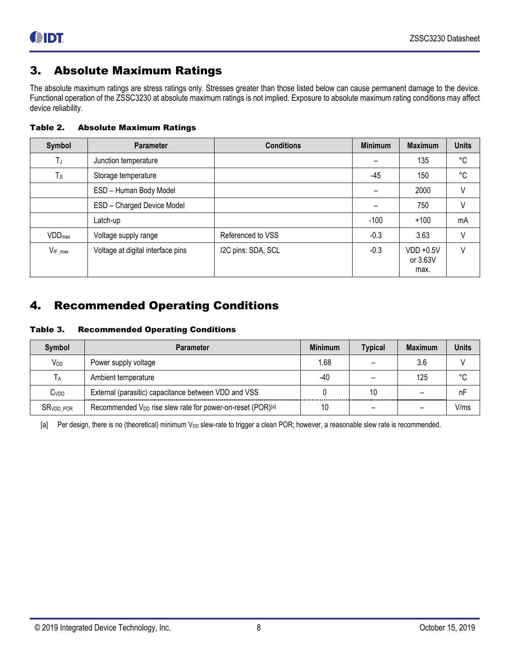## <span id="page-7-0"></span>3. Absolute Maximum Ratings

The absolute maximum ratings are stress ratings only. Stresses greater than those listed below can cause permanent damage to the device. Functional operation of the ZSSC3230 at absolute maximum ratings is not implied. Exposure to absolute maximum rating conditions may affect device reliability.

<span id="page-7-2"></span>Table 2. Absolute Maximum Ratings

| Symbol                    | <b>Parameter</b>                  | <b>Conditions</b>  | <b>Minimum</b> | <b>Maximum</b>                   | <b>Units</b> |
|---------------------------|-----------------------------------|--------------------|----------------|----------------------------------|--------------|
| TJ                        | Junction temperature              |                    |                | 135                              | °C           |
| $T_S$                     | Storage temperature               |                    | -45            | 150                              | $^{\circ}$ C |
|                           | ESD - Human Body Model            |                    |                | 2000                             | $\vee$       |
|                           | ESD - Charged Device Model        |                    |                | 750                              | V            |
|                           | Latch-up                          |                    | $-100$         | $+100$                           | mA           |
| <b>VDD</b> <sub>max</sub> | Voltage supply range              | Referenced to VSS  | $-0.3$         | 3.63                             | V            |
| $V_{IF\_max}$             | Voltage at digital interface pins | I2C pins: SDA, SCL | $-0.3$         | $VDD + 0.5V$<br>or 3.63V<br>max. | $\vee$       |

## <span id="page-7-1"></span>4. Recommended Operating Conditions

<span id="page-7-3"></span>Table 3. Recommended Operating Conditions

| <b>Symbol</b>    | <b>Parameter</b>                                                       | <b>Minimum</b> | <b>Typical</b> | <b>Maximum</b> | <b>Units</b> |
|------------------|------------------------------------------------------------------------|----------------|----------------|----------------|--------------|
| V <sub>DD</sub>  | Power supply voltage                                                   | 1.68           |                | 3.6            |              |
| IА.              | Ambient temperature                                                    | -40            |                | 125            | °C           |
| C <sub>VDD</sub> | External (parasitic) capacitance between VDD and VSS                   |                | 10             |                | nF           |
| <b>SRVDD POR</b> | Recommended V <sub>DD</sub> rise slew rate for power-on-reset (POR)[a] | 10             |                |                | V/ms         |

<span id="page-7-4"></span>[a] Per design, there is no (theoretical) minimum V<sub>DD</sub> slew-rate to trigger a clean POR; however, a reasonable slew rate is recommended.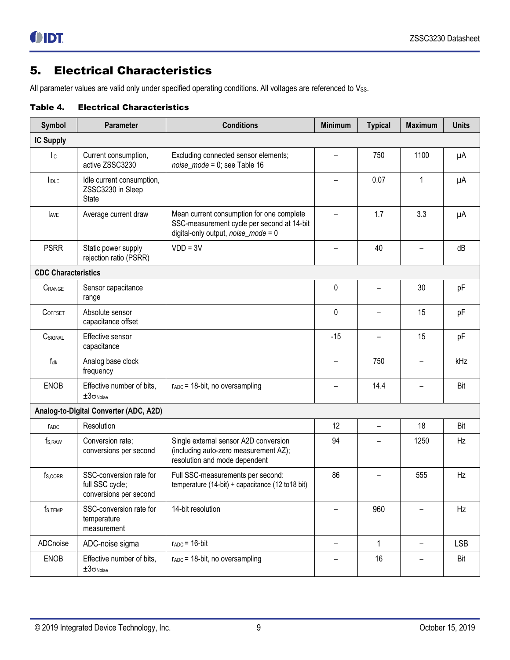## <span id="page-8-0"></span>5. Electrical Characteristics

All parameter values are valid only under specified operating conditions. All voltages are referenced to Vss.

#### <span id="page-8-1"></span>Table 4. Electrical Characteristics

| <b>Symbol</b>              | <b>Parameter</b>                                                     | <b>Conditions</b>                                                                                                                 | <b>Minimum</b>           | <b>Typical</b> | <b>Maximum</b>           | <b>Units</b> |
|----------------------------|----------------------------------------------------------------------|-----------------------------------------------------------------------------------------------------------------------------------|--------------------------|----------------|--------------------------|--------------|
| <b>IC Supply</b>           |                                                                      |                                                                                                                                   |                          |                |                          |              |
| $I_{IC}$                   | Current consumption,<br>active ZSSC3230                              | Excluding connected sensor elements;<br>$noise\_mode = 0$ ; see Table 16                                                          |                          | 750            | 1100                     | $\mu A$      |
| I <sub>IDLE</sub>          | Idle current consumption,<br>ZSSC3230 in Sleep<br><b>State</b>       |                                                                                                                                   | -                        | 0.07           | 1                        | μA           |
| <b>AVE</b>                 | Average current draw                                                 | Mean current consumption for one complete<br>SSC-measurement cycle per second at 14-bit<br>digital-only output, $noise\_mode = 0$ |                          | 1.7            | 3.3                      | μA           |
| <b>PSRR</b>                | Static power supply<br>rejection ratio (PSRR)                        | $VDD = 3V$                                                                                                                        |                          | 40             |                          | dB           |
| <b>CDC Characteristics</b> |                                                                      |                                                                                                                                   |                          |                |                          |              |
| CRANGE                     | Sensor capacitance<br>range                                          |                                                                                                                                   | 0                        |                | 30                       | pF           |
| COFFSET                    | Absolute sensor<br>capacitance offset                                |                                                                                                                                   | 0                        |                | 15                       | pF           |
| CSIGNAL                    | Effective sensor<br>capacitance                                      |                                                                                                                                   | $-15$                    |                | 15                       | pF           |
| $f_{cik}$                  | Analog base clock<br>frequency                                       |                                                                                                                                   | $\overline{\phantom{0}}$ | 750            | $\overline{\phantom{0}}$ | kHz          |
| <b>ENOB</b>                | Effective number of bits,<br>$\pm 3\sigma$ Noise                     | $r_{ADC}$ = 18-bit, no oversampling                                                                                               | -                        | 14.4           | —                        | Bit          |
|                            | Analog-to-Digital Converter (ADC, A2D)                               |                                                                                                                                   |                          |                |                          |              |
| <b>TADC</b>                | Resolution                                                           |                                                                                                                                   | 12                       |                | 18                       | Bit          |
| $f_{S,RAW}$                | Conversion rate:<br>conversions per second                           | Single external sensor A2D conversion<br>(including auto-zero measurement AZ);<br>resolution and mode dependent                   | 94                       |                | 1250                     | Hz           |
| fs, corr                   | SSC-conversion rate for<br>full SSC cycle;<br>conversions per second | Full SSC-measurements per second:<br>temperature (14-bit) + capacitance (12 to 18 bit)                                            | 86                       |                | 555                      | Hz           |
| $f_{S,TEMP}$               | SSC-conversion rate for<br>temperature<br>measurement                | 14-bit resolution                                                                                                                 |                          | 960            |                          | Hz           |
| ADCnoise                   | ADC-noise sigma                                                      | $r_{ADC} = 16$ -bit                                                                                                               | -                        | 1              | $\qquad \qquad -$        | <b>LSB</b>   |
| ENOB                       | Effective number of bits,<br>$\pm 3\sigma$ Noise                     | $r_{ADC}$ = 18-bit, no oversampling                                                                                               |                          | 16             |                          | Bit          |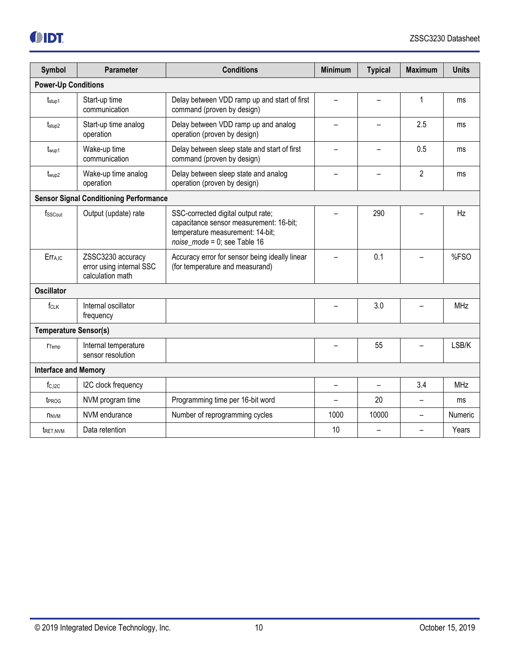| Symbol                       | <b>Parameter</b>                                                  | <b>Conditions</b>                                                                                                                                     | <b>Minimum</b>           | <b>Typical</b>           | <b>Maximum</b> | <b>Units</b> |
|------------------------------|-------------------------------------------------------------------|-------------------------------------------------------------------------------------------------------------------------------------------------------|--------------------------|--------------------------|----------------|--------------|
| <b>Power-Up Conditions</b>   |                                                                   |                                                                                                                                                       |                          |                          |                |              |
| $t_{\text{stop1}}$           | Start-up time<br>communication                                    | Delay between VDD ramp up and start of first<br>command (proven by design)                                                                            |                          |                          | 1              | ms           |
| t <sub>stup2</sub>           | Start-up time analog<br>operation                                 | Delay between VDD ramp up and analog<br>operation (proven by design)                                                                                  |                          |                          | 2.5            | ms           |
| t <sub>wup1</sub>            | Wake-up time<br>communication                                     | Delay between sleep state and start of first<br>command (proven by design)                                                                            |                          |                          | 0.5            | ms           |
| t <sub>wup2</sub>            | Wake-up time analog<br>operation                                  | Delay between sleep state and analog<br>operation (proven by design)                                                                                  |                          | $\overline{2}$           | ms             |              |
|                              | <b>Sensor Signal Conditioning Performance</b>                     |                                                                                                                                                       |                          |                          |                |              |
| fsscout                      | Output (update) rate                                              | SSC-corrected digital output rate;<br>capacitance sensor measurement: 16-bit;<br>temperature measurement: 14-bit;<br>$noise\_mode = 0$ ; see Table 16 |                          | 290                      |                | Hz           |
| Err <sub>A,IC</sub>          | ZSSC3230 accuracy<br>error using internal SSC<br>calculation math | Accuracy error for sensor being ideally linear<br>(for temperature and measurand)                                                                     |                          | 0.1                      |                | %FSO         |
| <b>Oscillator</b>            |                                                                   |                                                                                                                                                       |                          |                          |                |              |
| f <sub>CLK</sub>             | Internal oscillator<br>frequency                                  |                                                                                                                                                       |                          | 3.0                      |                | <b>MHz</b>   |
| <b>Temperature Sensor(s)</b> |                                                                   |                                                                                                                                                       |                          |                          |                |              |
| <b>T</b> emp                 | Internal temperature<br>sensor resolution                         |                                                                                                                                                       |                          | 55                       |                | LSB/K        |
| <b>Interface and Memory</b>  |                                                                   |                                                                                                                                                       |                          |                          |                |              |
| $f_{C, I2C}$                 | I2C clock frequency                                               |                                                                                                                                                       | $\overline{\phantom{0}}$ | $\overline{\phantom{0}}$ | 3.4            | <b>MHz</b>   |
| t <sub>PROG</sub>            | NVM program time                                                  | Programming time per 16-bit word                                                                                                                      |                          | 20                       | L              | ms           |
| <b>NNVM</b>                  | NVM endurance                                                     | Number of reprogramming cycles                                                                                                                        | 1000                     | 10000                    | L              | Numeric      |
| <b>TRET.NVM</b>              | Data retention                                                    |                                                                                                                                                       | 10                       |                          |                | Years        |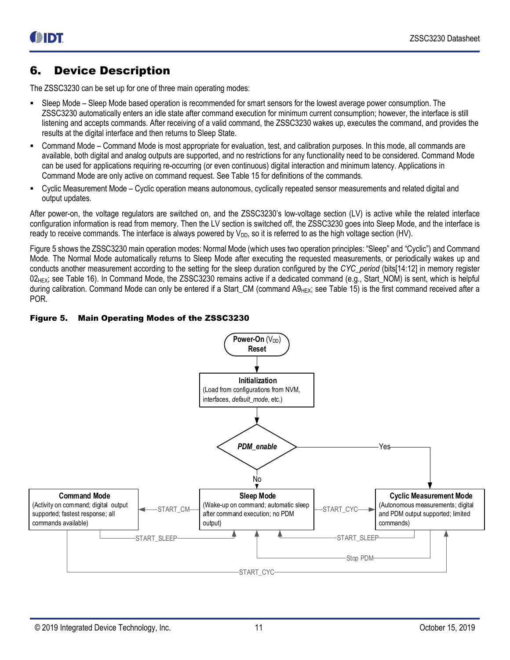## <span id="page-10-0"></span>6. Device Description

The ZSSC3230 can be set up for one of three main operating modes:

- Sleep Mode Sleep Mode based operation is recommended for smart sensors for the lowest average power consumption. The ZSSC3230 automatically enters an idle state after command execution for minimum current consumption; however, the interface is still listening and accepts commands. After receiving of a valid command, the ZSSC3230 wakes up, executes the command, and provides the results at the digital interface and then returns to Sleep State.
- Command Mode Command Mode is most appropriate for evaluation, test, and calibration purposes. In this mode, all commands are available, both digital and analog outputs are supported, and no restrictions for any functionality need to be considered. Command Mode can be used for applications requiring re-occurring (or even continuous) digital interaction and minimum latency. Applications in Command Mode are only active on command request. See [Table 15](#page-26-1) for definitions of the commands.
- Cyclic Measurement Mode Cyclic operation means autonomous, cyclically repeated sensor measurements and related digital and output updates.

After power-on, the voltage regulators are switched on, and the ZSSC3230's low-voltage section (LV) is active while the related interface configuration information is read from memory. Then the LV section is switched off, the ZSSC3230 goes into Sleep Mode, and the interface is ready to receive commands. The interface is always powered by  $V_{DD}$ , so it is referred to as the high voltage section (HV).

[Figure 5](#page-10-1) shows the ZSSC3230 main operation modes: Normal Mode (which uses two operation principles: "Sleep" and "Cyclic") and Command Mode. The Normal Mode automatically returns to Sleep Mode after executing the requested measurements, or periodically wakes up and conducts another measurement according to the setting for the sleep duration configured by the *CYC\_period* (bits[14:12] in memory register  $02$ <sub>HEX</sub>; see [Table 16\)](#page-28-1). In Command Mode, the ZSSC3230 remains active if a dedicated command (e.g., Start NOM) is sent, which is helpful during calibration. Command Mode can only be entered if a Start\_CM (command A9<sub>HEX</sub>; see [Table 15\)](#page-26-1) is the first command received after a POR.

#### <span id="page-10-1"></span>Figure 5. Main Operating Modes of the ZSSC3230

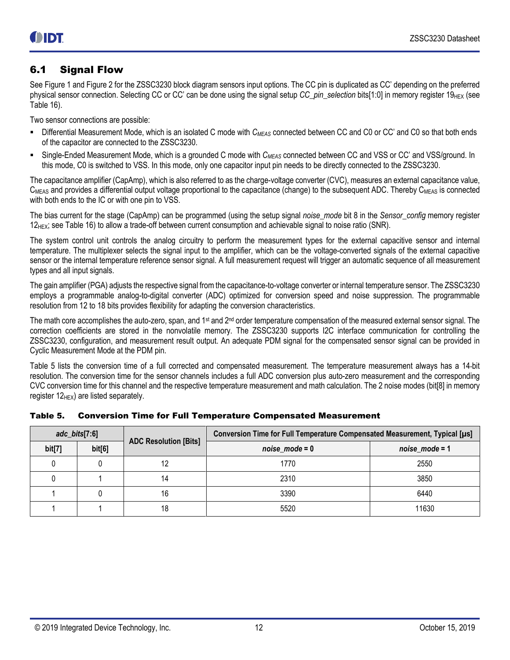### <span id="page-11-0"></span>6.1 Signal Flow

Se[e Figure 1](#page-2-0) and [Figure 2](#page-2-1) for the ZSSC3230 block diagram sensors input options. The CC pin is duplicated as CC' depending on the preferred physical sensor connection. Selecting CC or CC' can be done using the signal setup *CC\_pin\_selection* bits[1:0] in memory register 19<sub>HEX</sub> (see [Table 16\)](#page-28-1).

Two sensor connections are possible:

- Differential Measurement Mode, which is an isolated C mode with *CMEAS* connected between CC and C0 or CC' and C0 so that both ends of the capacitor are connected to the ZSSC3230.
- Single-Ended Measurement Mode, which is a grounded C mode with *CMEAS* connected between CC and VSS or CC' and VSS/ground. In this mode, C0 is switched to VSS. In this mode, only one capacitor input pin needs to be directly connected to the ZSSC3230.

The capacitance amplifier (CapAmp), which is also referred to as the charge-voltage converter (CVC), measures an external capacitance value,  $C_{MEAS}$  and provides a differential output voltage proportional to the capacitance (change) to the subsequent ADC. Thereby  $C_{MEAS}$  is connected with both ends to the IC or with one pin to VSS.

The bias current for the stage (CapAmp) can be programmed (using the setup signal *noise\_mode* bit 8 in the *Sensor\_config* memory register 12<sub>HEX</sub>; se[e Table 16\)](#page-28-1) to allow a trade-off between current consumption and achievable signal to noise ratio (SNR).

The system control unit controls the analog circuitry to perform the measurement types for the external capacitive sensor and internal temperature. The multiplexer selects the signal input to the amplifier, which can be the voltage-converted signals of the external capacitive sensor or the internal temperature reference sensor signal. A full measurement request will trigger an automatic sequence of all measurement types and all input signals.

The gain amplifier (PGA) adjusts the respective signal from the capacitance-to-voltage converter or internal temperature sensor. The ZSSC3230 employs a programmable analog-to-digital converter (ADC) optimized for conversion speed and noise suppression. The programmable resolution from 12 to 18 bits provides flexibility for adapting the conversion characteristics.

The math core accomplishes the auto-zero, span, and 1<sup>st</sup> and 2<sup>nd</sup> order temperature compensation of the measured external sensor signal. The correction coefficients are stored in the nonvolatile memory. The ZSSC3230 supports I2C interface communication for controlling the ZSSC3230, configuration, and measurement result output. An adequate PDM signal for the compensated sensor signal can be provided in Cyclic Measurement Mode at the PDM pin.

[Table 5](#page-11-1) lists the conversion time of a full corrected and compensated measurement. The temperature measurement always has a 14-bit resolution. The conversion time for the sensor channels includes a full ADC conversion plus auto-zero measurement and the corresponding CVC conversion time for this channel and the respective temperature measurement and math calculation. The 2 noise modes (bit[8] in memory register  $12_{\text{HEX}}$ ) are listed separately.

| $adc_bits[7:6]$ |        | <b>ADC Resolution [Bits]</b> | Conversion Time for Full Temperature Compensated Measurement, Typical [µs] |                   |  |
|-----------------|--------|------------------------------|----------------------------------------------------------------------------|-------------------|--|
| bit[7]          | bit[6] |                              | $noise_model = 0$                                                          | $noise_model = 1$ |  |
|                 |        | 12                           | 1770                                                                       | 2550              |  |
|                 |        | 14                           | 2310                                                                       | 3850              |  |
|                 |        | 16                           | 3390                                                                       | 6440              |  |
|                 |        | 18                           | 5520                                                                       | 11630             |  |

<span id="page-11-1"></span>

|  |  |  |  | Table 5. Conversion Time for Full Temperature Compensated Measurement |  |
|--|--|--|--|-----------------------------------------------------------------------|--|
|--|--|--|--|-----------------------------------------------------------------------|--|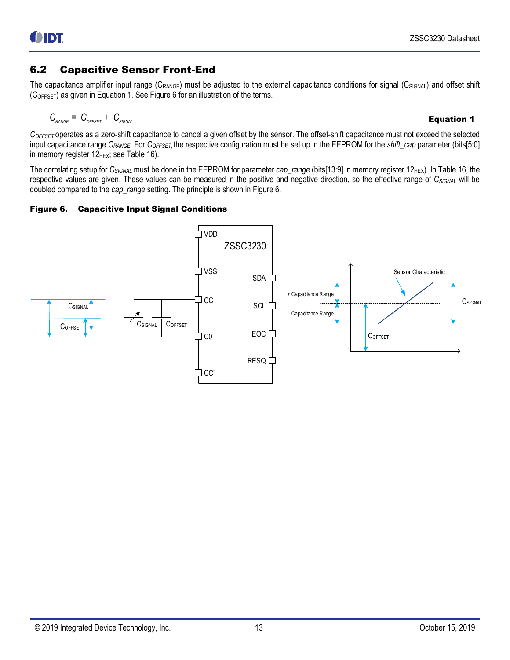### <span id="page-12-0"></span>6.2 Capacitive Sensor Front-End

The capacitance amplifier input range  $(C_{\text{RANGE}})$  must be adjusted to the external capacitance conditions for signal  $(C_{\text{SIGNAL}})$  and offset shift  $(C<sub>OFFSET</sub>)$  as given i[n Equation 1.](#page-12-2) See [Figure 6](#page-12-1) for an illustration of the terms.

<span id="page-12-2"></span>
$$
C_{\text{RANGE}} = C_{\text{OFFSET}} + C_{\text{SIGNAL}}
$$

*COFFSET* operates as a zero-shift capacitance to cancel a given offset by the sensor. The offset-shift capacitance must not exceed the selected input capacitance range *CRANGE*. For *COFFSET*, the respective configuration must be set up in the EEPROM for the *shift\_cap* parameter (bits[5:0] in memory register  $12$ <sub>HEX</sub>; see [Table 16\)](#page-28-1).

The correlating setup for C<sub>SIGNAL</sub> must be done in the EEPROM for parameter *cap\_range* (bits[13:9] in memory register 12<sub>HEX</sub>). I[n Table 16,](#page-28-1) the respective values are given. These values can be measured in the positive and negative direction, so the effective range of *CSIGNA*<sup>L</sup> will be doubled compared to the *cap\_range* setting. The principle is shown i[n Figure 6.](#page-12-1)

#### <span id="page-12-1"></span>Figure 6. Capacitive Input Signal Conditions

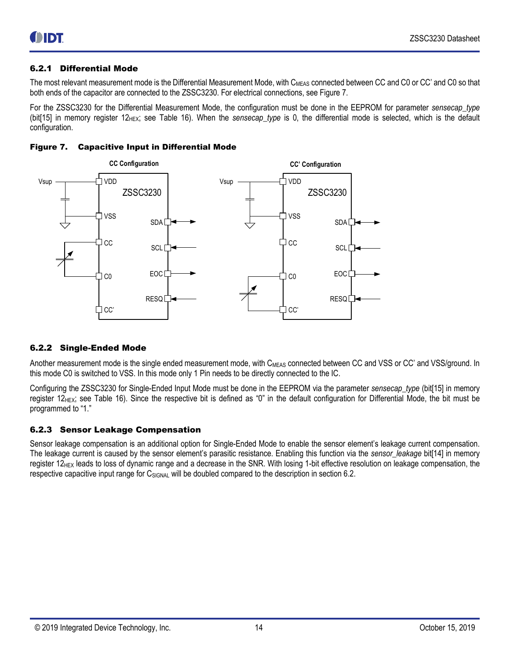#### <span id="page-13-0"></span>6.2.1 Differential Mode

The most relevant measurement mode is the Differential Measurement Mode, with C<sub>MEAS</sub> connected between CC and C0 or CC' and C0 so that both ends of the capacitor are connected to the ZSSC3230. For electrical connections, see [Figure 7.](#page-13-3)

For the ZSSC3230 for the Differential Measurement Mode, the configuration must be done in the EEPROM for parameter *sensecap\_type*  (bit[15] in memory register  $12_{HEX}$ ; see [Table 16\)](#page-28-1). When the *sensecap\_type* is 0, the differential mode is selected, which is the default configuration.

<span id="page-13-3"></span>



#### <span id="page-13-1"></span>6.2.2 Single-Ended Mode

Another measurement mode is the single ended measurement mode, with C<sub>MEAS</sub> connected between CC and VSS or CC' and VSS/ground. In this mode C0 is switched to VSS. In this mode only 1 Pin needs to be directly connected to the IC.

Configuring the ZSSC3230 for Single-Ended Input Mode must be done in the EEPROM via the parameter *sensecap\_type* (bit[15] in memory register  $12$ <sub>HEX</sub>; see [Table 16](#page-28-1)). Since the respective bit is defined as "0" in the default configuration for Differential Mode, the bit must be programmed to "1."

#### <span id="page-13-2"></span>6.2.3 Sensor Leakage Compensation

Sensor leakage compensation is an additional option for Single-Ended Mode to enable the sensor element's leakage current compensation. The leakage current is caused by the sensor element's parasitic resistance. Enabling this function via the *sensor\_leakage* bit[14] in memory register 12<sub>HEX</sub> leads to loss of dynamic range and a decrease in the SNR. With losing 1-bit effective resolution on leakage compensation, the respective capacitive input range for C<sub>SIGNAL</sub> will be doubled compared to the description in section [6.2.](#page-12-0)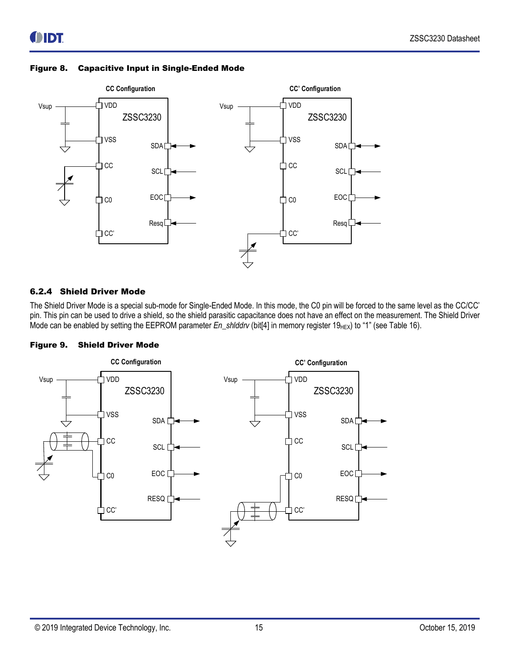

#### <span id="page-14-1"></span>Figure 8. Capacitive Input in Single-Ended Mode

#### <span id="page-14-0"></span>6.2.4 Shield Driver Mode

The Shield Driver Mode is a special sub-mode for Single-Ended Mode. In this mode, the C0 pin will be forced to the same level as the CC/CC' pin. This pin can be used to drive a shield, so the shield parasitic capacitance does not have an effect on the measurement. The Shield Driver Mode can be enabled by setting the EEPROM parameter *En\_shlddrv* (bit[4] in memory register 19<sub>HEX</sub>) to "1" (se[e Table 16\)](#page-28-1).

<span id="page-14-2"></span>

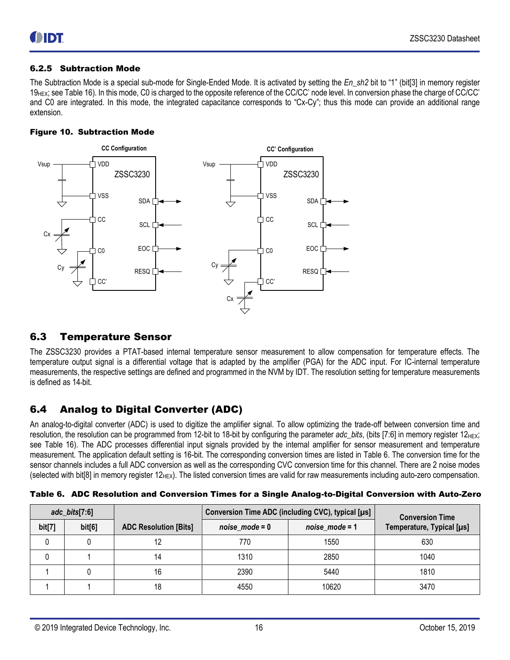#### <span id="page-15-0"></span>6.2.5 Subtraction Mode

The Subtraction Mode is a special sub-mode for Single-Ended Mode. It is activated by setting the *En\_sh2* bit to "1" (bit[3] in memory register 19<sub>HEX</sub>; se[e Table 16\)](#page-28-1). In this mode, C0 is charged to the opposite reference of the CC/CC' node level. In conversion phase the charge of CC/CC' and C0 are integrated. In this mode, the integrated capacitance corresponds to "Cx-Cy"; thus this mode can provide an additional range extension.

#### <span id="page-15-3"></span>Figure 10. Subtraction Mode



### <span id="page-15-1"></span>6.3 Temperature Sensor

The ZSSC3230 provides a PTAT-based internal temperature sensor measurement to allow compensation for temperature effects. The temperature output signal is a differential voltage that is adapted by the amplifier (PGA) for the ADC input. For IC-internal temperature measurements, the respective settings are defined and programmed in the NVM by IDT. The resolution setting for temperature measurements is defined as 14-bit.

### <span id="page-15-2"></span>6.4 Analog to Digital Converter (ADC)

An analog-to-digital converter (ADC) is used to digitize the amplifier signal. To allow optimizing the trade-off between conversion time and resolution, the resolution can be programmed from 12-bit to 18-bit by configuring the parameter *adc\_bits*, (bits [7:6] in memory register 12<sub>HEX</sub>; see [Table 16\)](#page-28-1). The ADC processes differential input signals provided by the internal amplifier for sensor measurement and temperature measurement. The application default setting is 16-bit. The corresponding conversion times are listed in [Table 6.](#page-15-4) The conversion time for the sensor channels includes a full ADC conversion as well as the corresponding CVC conversion time for this channel. There are 2 noise modes (selected with bit[8] in memory register  $12_{\text{HEX}}$ ). The listed conversion times are valid for raw measurements including auto-zero compensation.

| $adc_bits[7:6]$ |        |                              | Conversion Time ADC (including CVC), typical [µs] | <b>Conversion Time</b> |                           |
|-----------------|--------|------------------------------|---------------------------------------------------|------------------------|---------------------------|
| bit[7]          | bit[6] | <b>ADC Resolution [Bits]</b> | $noise_model = 0$                                 | $noise_model = 1$      | Temperature, Typical [µs] |
|                 |        | 12                           | 770                                               | 1550                   | 630                       |
|                 |        | 14                           | 1310                                              | 2850                   | 1040                      |
|                 |        | 16                           | 2390                                              | 5440                   | 1810                      |
|                 |        | 18                           | 4550                                              | 10620                  | 3470                      |

<span id="page-15-4"></span>

| Table 6. ADC Resolution and Conversion Times for a Single Analog-to-Digital Conversion with Auto-Zero |  |  |
|-------------------------------------------------------------------------------------------------------|--|--|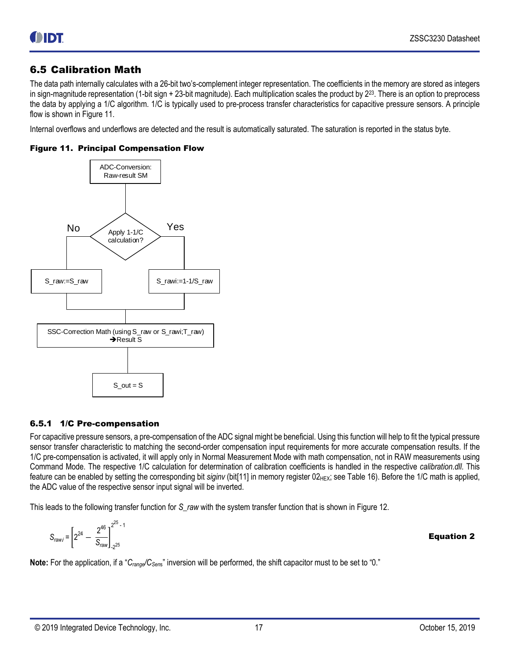### <span id="page-16-0"></span>6.5 Calibration Math

The data path internally calculates with a 26-bit two's-complement integer representation. The coefficients in the memory are stored as integers in sign-magnitude representation (1-bit sign + 23-bit magnitude). Each multiplication scales the product by 2<sup>23</sup> . There is an option to preprocess the data by applying a 1/C algorithm. 1/C is typically used to pre-process transfer characteristics for capacitive pressure sensors. A principle flow is shown i[n Figure 11.](#page-16-2)

Internal overflows and underflows are detected and the result is automatically saturated. The saturation is reported in the status byte.

<span id="page-16-2"></span>



#### <span id="page-16-1"></span>6.5.1 1/C Pre-compensation

For capacitive pressure sensors, a pre-compensation of the ADC signal might be beneficial. Using this function will help to fit the typical pressure sensor transfer characteristic to matching the second-order compensation input requirements for more accurate compensation results. If the 1/C pre-compensation is activated, it will apply only in Normal Measurement Mode with math compensation, not in RAW measurements using Command Mode. The respective 1/C calculation for determination of calibration coefficients is handled in the respective *calibration.dll*. This feature can be enabled by setting the corresponding bit *siginv* (bit[11] in memory register 02<sub>HEX</sub>; see [Table 16\)](#page-28-1). Before the 1/C math is applied, the ADC value of the respective sensor input signal will be inverted.

This leads to the following transfer function for *S\_raw* with the system transfer function that is shown i[n Figure 12.](#page-17-1)

$$
S_{rawi} = \left[2^{24} - \frac{2^{46}}{S_{raw}}\right]_{\frac{1}{2^{25}}}^{2^{25}-1}
$$
 **Equation 2**

**Note:** For the application, if a "C<sub>range</sub>/C<sub>Sens</sub>" inversion will be performed, the shift capacitor must to be set to "0."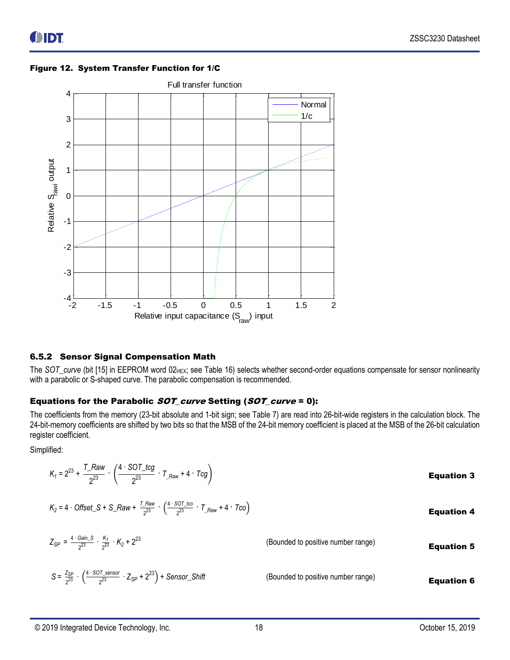

#### <span id="page-17-1"></span>Figure 12. System Transfer Function for 1/C

#### <span id="page-17-0"></span>6.5.2 Sensor Signal Compensation Math

The *SOT\_curve* (bit [15] in EEPROM word 02<sub>HEX</sub>; see [Table 16\)](#page-28-1) selects whether second-order equations compensate for sensor nonlinearity with a parabolic or S-shaped curve. The parabolic compensation is recommended.

#### Equations for the Parabolic SOT\_curve Setting (SOT\_curve = 0):

The coefficients from the memory (23-bit absolute and 1-bit sign; see [Table 7\)](#page-19-3) are read into 26-bit-wide registers in the calculation block. The 24-bit-memory coefficients are shifted by two bits so that the MSB of the 24-bit memory coefficient is placed at the MSB of the 26-bit calculation register coefficient.

Simplified:

| $K_1 = 2^{23} + \frac{T_Raw}{2^{23}} \cdot \left( \frac{4 \cdot \text{SOT\_tcg}}{2^{23}} \cdot T_{Raw} + 4 \cdot Tcg \right)$          |                                    | <b>Equation 3</b> |
|----------------------------------------------------------------------------------------------------------------------------------------|------------------------------------|-------------------|
| $K_2 = 4$ · Offset_S + S_Raw + $\frac{T_Raw}{a^{23}} \cdot \left(\frac{4 \cdot 80T_tca}{a^{23}} \cdot T_{Raw} + 4 \cdot T_{CO}\right)$ |                                    | <b>Equation 4</b> |
| $Z_{SP} = \frac{4.4 \text{ Gain}_S}{233} \cdot \frac{K_1}{233} \cdot K_2 + 2^{23}$                                                     | (Bounded to positive number range) | <b>Equation 5</b> |
| $S = \frac{Z_{SP}}{233} \cdot \left( \frac{4 \cdot 807\text{~sensor}}{233} \cdot Z_{SP} + 2^{23} \right) +$ Sensor_Shift               | (Bounded to positive number range) | <b>Equation 6</b> |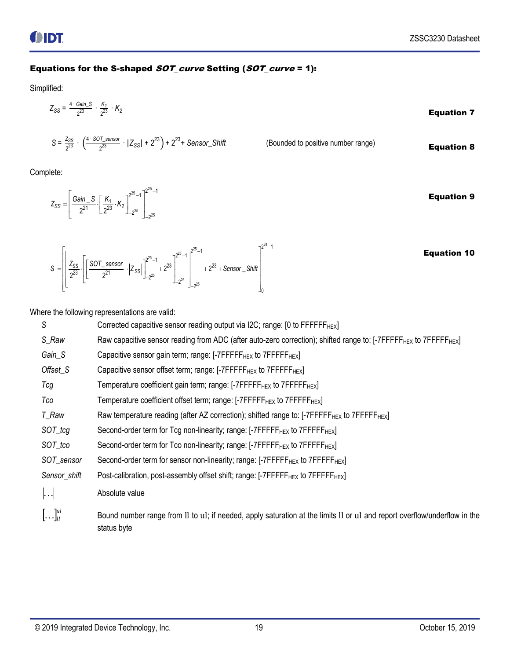### Equations for the S-shaped SOT\_curve Setting (SOT\_curve = 1):

Simplified:

$$
Z_{SS} = \frac{4 \cdot \text{Gain\_S}}{2^{23}} \cdot \frac{K_1}{2^{23}} \cdot K_2
$$
 **Equation 7**

$$
\frac{Z_{SS}}{2^{23}} \cdot \left(\frac{4 \cdot \text{SOT\_sensor}}{2^{23}} \cdot |Z_{SS}| + 2^{23}\right) + 2^{23} + \text{Sensor\_Shift}
$$

(Bounded to positive number range) **Equation 8** 

Complete:

 $S = \frac{Z_{SS}}{23}$ 

 $25 \t 1^2$  $\begin{array}{c|c} 25 & 25 \end{array}$  $\frac{\sin 2S}{2^{21}} \cdot \left[ \frac{K_1}{2^{23}} \cdot K_2 \right]_{-2^{25}}^{2^{25}-1} \Big]_{-2^{25}}^{2^{25}-1}$  $-1$ <sup>2<sup>25</sup><sup>-1</sup></sup>  $-2^{25}$   $\perp$ Gain\_S  $K_1, K_2$ <sup>25-1</sup><sup>225-1</sup>  $=\left[\frac{Gain\_S}{2^{21}} \cdot \left[\frac{K_1}{2^{23}} \cdot K_2\right]_{-2^{25}}^{2^{25}-1}\right]_{-2^{25}}^{2^{25}-1}$  $Z_{SS} = \left[\frac{Gain\_S}{2^{21}} \cdot \left[\frac{K_1}{2^{23}} \cdot K\right]\right]$ Equation 9

| $-2^{25}$<br>$\left[\frac{\text{SOT\_sensor}}{\frac{1}{2} \cdot \frac{1}{2}}\right]^{2^{25}-1}$<br>$\mathbb{R}^n$<br>$\frac{Z_{SS}}{2}$ .<br>$+2^{23}$<br>$+2^{23} +$ Sensor _Shift<br>$S =$<br>$\cdot$ $ Z_{SS} $<br>2 <sup>3</sup><br>2 <sup>1</sup><br>$1 - 2^{25}$<br>25<br>┶<br>$J - 2^{25}$<br>10 | <b>Equation 10</b> |
|---------------------------------------------------------------------------------------------------------------------------------------------------------------------------------------------------------------------------------------------------------------------------------------------------------|--------------------|
|---------------------------------------------------------------------------------------------------------------------------------------------------------------------------------------------------------------------------------------------------------------------------------------------------------|--------------------|

Where the following representations are valid:

| S                               | Corrected capacitive sensor reading output via I2C; range: [0 to FFFFFF <sub>HEX</sub> ]                                                  |
|---------------------------------|-------------------------------------------------------------------------------------------------------------------------------------------|
| S_Raw                           | Raw capacitive sensor reading from ADC (after auto-zero correction); shifted range to: [-7FFFFF <sub>HEX</sub> to 7FFFFF <sub>HEX</sub> ] |
| Gain_S                          | Capacitive sensor gain term; range: $[-7$ FFFFF $_{HEX}$ to $7$ FFFF $_{HEX}$ ]                                                           |
| Offset_S                        | Capacitive sensor offset term; range: $[-7$ FFFFF $_{\text{HEX}}$ to $7$ FFFF $_{\text{HEX}}$ ]                                           |
| Tcg                             | Temperature coefficient gain term; range: [-7FFFFF <sub>HEX</sub> to 7FFFFF <sub>HEX</sub> ]                                              |
| Tco                             | Temperature coefficient offset term; range: [-7FFFFF <sub>HEX</sub> to 7FFFFF <sub>HEX</sub> ]                                            |
| T_Raw                           |                                                                                                                                           |
| SOT_tcg                         | Second-order term for Tcg non-linearity; range: [-7FFFFF <sub>HEX</sub> to 7FFFFF <sub>HEX</sub> ]                                        |
| SOT_tco                         | Second-order term for Tco non-linearity; range: [-7FFFFF <sub>HEX</sub> to 7FFFFF <sub>HEX</sub> ]                                        |
| SOT_sensor                      | Second-order term for sensor non-linearity; range: [-7FFFFF <sub>HEX</sub> to 7FFFFF <sub>HEX</sub> ]                                     |
| Sensor_shift                    | Post-calibration, post-assembly offset shift; range: [-7FFFFF <sub>HEX</sub> to 7FFFFF <sub>HEX</sub> ]                                   |
| $\left  \ldots \right $         | Absolute value                                                                                                                            |
| $\left[\ldots\right]_{ll}^{ul}$ | Bound number range from II to uI; if needed, apply saturation at the limits II or uI and report overflow/underflow in the<br>status byte  |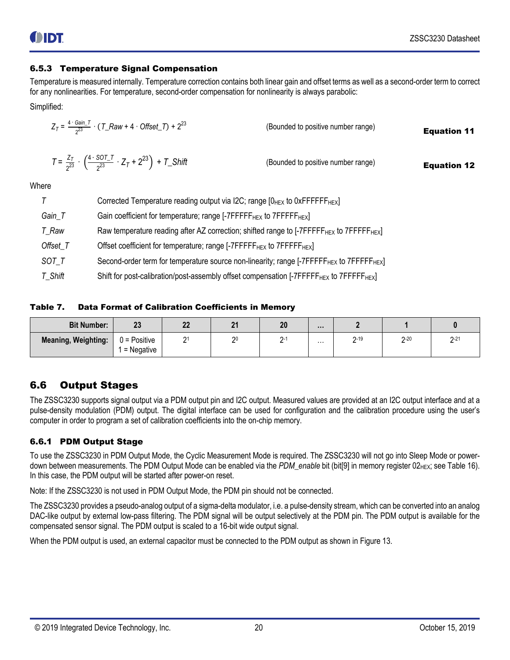#### <span id="page-19-0"></span>6.5.3 Temperature Signal Compensation

Temperature is measured internally. Temperature correction contains both linear gain and offset terms as well as a second-order term to correct for any nonlinearities. For temperature, second-order compensation for nonlinearity is always parabolic:

Simplified:

$$
Z_{T} = \frac{4 \cdot \text{Gain}_{T}}{2^{23}} \cdot (T_{Raw} + 4 \cdot \text{OfficeL}) + 2^{23}
$$
 (Bounded to positive number range) **Equation 11**  

$$
T = \frac{Z_{T}}{2^{23}} \cdot \left(\frac{4 \cdot \text{SOT}_{T}}{2^{23}} \cdot Z_{T} + 2^{23}\right) + T_{S} \text{ shift}
$$
 (Bounded to positive number range) **Equation 12**

**Where** 

|          | Corrected Temperature reading output via I2C; range $[0HEX$ to 0xFFFFFF <sub>HEX</sub> ]                         |
|----------|------------------------------------------------------------------------------------------------------------------|
| Gain_T   | Gain coefficient for temperature; range [-7FFFFF <sub>HEX</sub> to 7FFFFF <sub>HEX</sub> ]                       |
| T_Raw    | Raw temperature reading after AZ correction; shifted range to [-7FFFFF <sub>HEX</sub> to 7FFFFF <sub>HEX</sub> ] |
| Offset_T | Offset coefficient for temperature; range [-7FFFFF <sub>HEX</sub> to 7FFFFF <sub>HEX</sub> ]                     |
| SOT_T    | Second-order term for temperature source non-linearity; range [-7FFFFF <sub>HEX</sub> to 7FFFFF <sub>HEX</sub> ] |
| T_Shift  | Shift for post-calibration/post-assembly offset compensation [-7FFFFF <sub>HEX</sub> to 7FFFFF <sub>HEX</sub> ]  |

<span id="page-19-3"></span>Table 7. Data Format of Calibration Coefficients in Memory

| <b>Bit Number:</b>         | n n<br>ZJ                      | n <sub>n</sub><br><u></u> | $\overline{a}$ | 20 | $\cdots$ |               |               |               |
|----------------------------|--------------------------------|---------------------------|----------------|----|----------|---------------|---------------|---------------|
| <b>Meaning, Weighting:</b> | $0 = Positive$<br>$=$ Negative | <b>.</b>                  | 20             |    | $\cdots$ | $2 - 19$<br>- | $2 - 20$<br>- | $2 - 21$<br>- |

### <span id="page-19-1"></span>6.6 Output Stages

The ZSSC3230 supports signal output via a PDM output pin and I2C output. Measured values are provided at an I2C output interface and at a pulse-density modulation (PDM) output. The digital interface can be used for configuration and the calibration procedure using the user's computer in order to program a set of calibration coefficients into the on-chip memory.

#### <span id="page-19-2"></span>6.6.1 PDM Output Stage

To use the ZSSC3230 in PDM Output Mode, the Cyclic Measurement Mode is required. The ZSSC3230 will not go into Sleep Mode or powerdown between measurements. The PDM Output Mode can be enabled via the *PDM* enable bit (bit[9] in memory register 02<sub>HEX</sub>; se[e Table 16\)](#page-28-1). In this case, the PDM output will be started after power-on reset.

Note: If the ZSSC3230 is not used in PDM Output Mode, the PDM pin should not be connected.

The ZSSC3230 provides a pseudo-analog output of a sigma-delta modulator, i.e. a pulse-density stream, which can be converted into an analog DAC-like output by external low-pass filtering. The PDM signal will be output selectively at the PDM pin. The PDM output is available for the compensated sensor signal. The PDM output is scaled to a 16-bit wide output signal.

When the PDM output is used, an external capacitor must be connected to the PDM output as shown i[n Figure 13.](#page-20-1)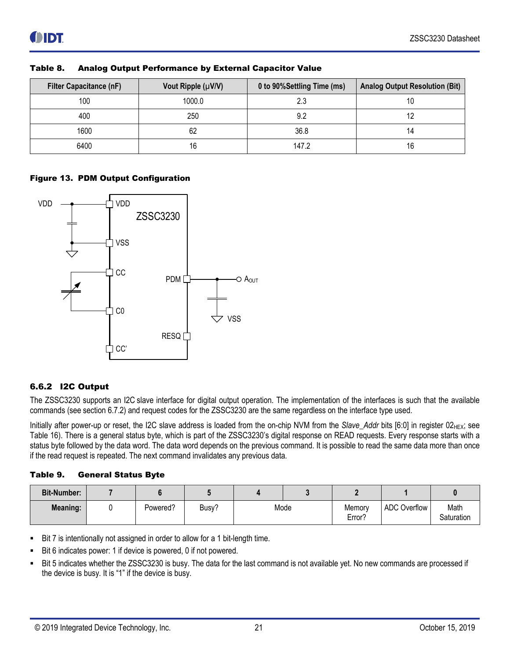| <b>Filter Capacitance (nF)</b> | Vout Ripple (µV/V) | 0 to 90%Settling Time (ms) | <b>Analog Output Resolution (Bit)</b> |
|--------------------------------|--------------------|----------------------------|---------------------------------------|
| 100                            | 1000.0             | 2.3                        |                                       |
| 400                            | 250                | 9.2                        |                                       |
| 1600                           | 62                 | 36.8                       |                                       |
| 6400                           | 16                 | 147.2                      | 16                                    |

<span id="page-20-2"></span>

| Table 8. |  | <b>Analog Output Performance by External Capacitor Value</b> |  |  |
|----------|--|--------------------------------------------------------------|--|--|
|          |  |                                                              |  |  |

#### <span id="page-20-1"></span>Figure 13. PDM Output Configuration



#### <span id="page-20-0"></span>6.6.2 I2C Output

The ZSSC3230 supports an I2C slave interface for digital output operation. The implementation of the interfaces is such that the available commands (see sectio[n 6.7.2\)](#page-26-0) and request codes for the ZSSC3230 are the same regardless on the interface type used.

Initially after power-up or reset, the I2C slave address is loaded from the on-chip NVM from the Slave\_Addr bits [6:0] in register 02<sub>HEX</sub>; see [Table 16\)](#page-28-1). There is a general status byte, which is part of the ZSSC3230's digital response on READ requests. Every response starts with a status byte followed by the data word. The data word depends on the previous command. It is possible to read the same data more than once if the read request is repeated. The next command invalidates any previous data.

<span id="page-20-3"></span>

| Table 9. | <b>General Status Byte</b> |  |
|----------|----------------------------|--|
|          |                            |  |

| <b>Bit-Number:</b> |          |       |      |                  |                     |                    |
|--------------------|----------|-------|------|------------------|---------------------|--------------------|
| <b>Meaning:</b>    | Powered? | Busy? | Mode | Memory<br>Error? | <b>ADC Overflow</b> | Math<br>Saturation |

- Bit 7 is intentionally not assigned in order to allow for a 1 bit-length time.
- Bit 6 indicates power: 1 if device is powered, 0 if not powered.
- Bit 5 indicates whether the ZSSC3230 is busy. The data for the last command is not available yet. No new commands are processed if the device is busy. It is "1" if the device is busy.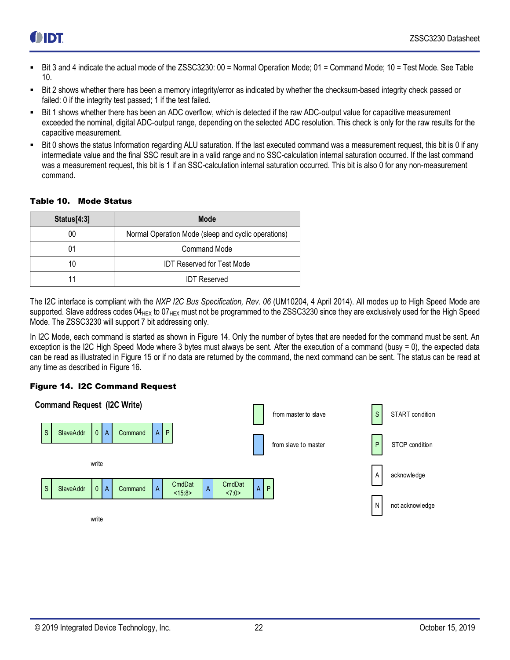- Bit 3 and 4 indicate the actual mode of the ZSSC3230: 00 = Normal Operation Mode; 01 = Command Mode; 10 = Test Mode. See Table [10.](#page-21-1)
- Bit 2 shows whether there has been a memory integrity/error as indicated by whether the checksum-based integrity check passed or failed: 0 if the integrity test passed; 1 if the test failed.
- Bit 1 shows whether there has been an ADC overflow, which is detected if the raw ADC-output value for capacitive measurement exceeded the nominal, digital ADC-output range, depending on the selected ADC resolution. This check is only for the raw results for the capacitive measurement.
- Bit 0 shows the status Information regarding ALU saturation. If the last executed command was a measurement request, this bit is 0 if any intermediate value and the final SSC result are in a valid range and no SSC-calculation internal saturation occurred. If the last command was a measurement request, this bit is 1 if an SSC-calculation internal saturation occurred. This bit is also 0 for any non-measurement command.

#### <span id="page-21-1"></span>Table 10. Mode Status

| Status[4:3] | Mode                                                |
|-------------|-----------------------------------------------------|
| 00          | Normal Operation Mode (sleep and cyclic operations) |
|             | <b>Command Mode</b>                                 |
| 10          | <b>IDT Reserved for Test Mode</b>                   |
|             | <b>IDT Reserved</b>                                 |

The I2C interface is compliant with the *NXP I2C Bus Specification, Rev. 06* (UM10204, 4 April 2014). All modes up to High Speed Mode are supported. Slave address codes 04<sub>HEX</sub> to 07<sub>HEX</sub> must not be programmed to the ZSSC3230 since they are exclusively used for the High Speed Mode. The ZSSC3230 will support 7 bit addressing only.

In I2C Mode, each command is started as shown in [Figure 14.](#page-21-0) Only the number of bytes that are needed for the command must be sent. An exception is the I2C High Speed Mode where 3 bytes must always be sent. After the execution of a command (busy = 0), the expected data can be read as illustrated in [Figure 15](#page-22-0) or if no data are returned by the command, the next command can be sent. The status can be read at any time as described in [Figure 16.](#page-22-1)

#### <span id="page-21-0"></span>Figure 14. I2C Command Request

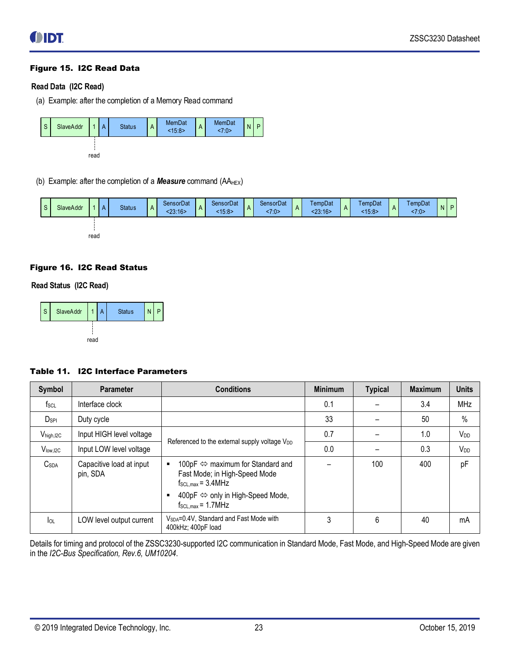#### <span id="page-22-0"></span>Figure 15. I2C Read Data

#### **Read Data (I2C Read)**

(a) Example: after the completion of a Memory Read command



(b) Example: after the completion of a **Measure** command (AA<sub>HEX</sub>)



#### <span id="page-22-1"></span>Figure 16. I2C Read Status

#### **Read Status (I2C Read)**



#### <span id="page-22-2"></span>Table 11. I2C Interface Parameters

| Symbol                  | <b>Parameter</b>                     | <b>Conditions</b>                                                                                          | <b>Minimum</b> | <b>Typical</b> | <b>Maximum</b> | <b>Units</b>          |
|-------------------------|--------------------------------------|------------------------------------------------------------------------------------------------------------|----------------|----------------|----------------|-----------------------|
| $f_{SCL}$               | Interface clock                      |                                                                                                            | 0.1            |                | 3.4            | <b>MHz</b>            |
| $D_{\sf SPI}$           | Duty cycle                           |                                                                                                            | 33             |                | 50             | $\%$                  |
| V <sub>high, I2C</sub>  | Input HIGH level voltage             |                                                                                                            | 0.7            |                | 1.0            | V <sub>DD</sub>       |
| V <sub>low, I2C</sub>   | Input LOW level voltage              | Referenced to the external supply voltage V <sub>DD</sub>                                                  | 0.0            |                | 0.3            | <b>V<sub>DD</sub></b> |
| <b>C</b> <sub>SDA</sub> | Capacitive load at input<br>pin, SDA | 100pF ⇔ maximum for Standard and<br>Fast Mode; in High-Speed Mode<br>$f_{\text{SCL,max}} = 3.4 \text{MHz}$ |                | 100            | 400            | pF                    |
|                         |                                      | 400pF ⇔ only in High-Speed Mode,<br>$f_{SCL,max} = 1.7 MHz$                                                |                |                |                |                       |
| $I_{OL}$                | LOW level output current             | V <sub>SDA</sub> =0.4V, Standard and Fast Mode with<br>400kHz; 400pF load                                  | 3              | 6              | 40             | mA                    |

Details for timing and protocol of the ZSSC3230-supported I2C communication in Standard Mode, Fast Mode, and High-Speed Mode are given in the *I2C-Bus Specification, Rev.6, UM10204*.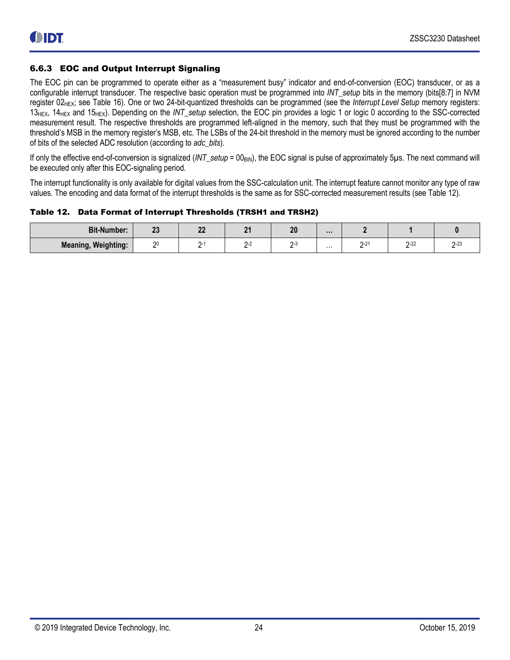#### <span id="page-23-0"></span>6.6.3 EOC and Output Interrupt Signaling

The EOC pin can be programmed to operate either as a "measurement busy" indicator and end-of-conversion (EOC) transducer, or as a configurable interrupt transducer. The respective basic operation must be programmed into *INT\_setup* bits in the memory (bits[8:7] in NVM register 02HEX; see [Table 16\)](#page-28-1). One or two 24-bit-quantized thresholds can be programmed (see the *Interrupt Level Setup* memory registers: 13HEX, 14HEX and 15HEX). Depending on the *INT\_setup* selection, the EOC pin provides a logic 1 or logic 0 according to the SSC-corrected measurement result. The respective thresholds are programmed left-aligned in the memory, such that they must be programmed with the threshold's MSB in the memory register's MSB, etc. The LSBs of the 24-bit threshold in the memory must be ignored according to the number of bits of the selected ADC resolution (according to *adc\_bits*).

If only the effective end-of-conversion is signalized (*INT\_setup* = 00<sub>BIN</sub>), the EOC signal is pulse of approximately 5µs. The next command will be executed only after this EOC-signaling period.

The interrupt functionality is only available for digital values from the SSC-calculation unit. The interrupt feature cannot monitor any type of raw values. The encoding and data format of the interrupt thresholds is the same as for SSC-corrected measurement results (see [Table 12\)](#page-23-1).

<span id="page-23-1"></span>Table 12. Data Format of Interrupt Thresholds (TRSH1 and TRSH2)

| <b>Bit-Number:</b>         | n <sub>n</sub><br>$\sim$ | n <sub>n</sub><br>-- | n. | n,<br>£ |   |   |        |               |
|----------------------------|--------------------------|----------------------|----|---------|---|---|--------|---------------|
| <b>Meaning, Weighting:</b> | $\sim$                   |                      |    |         | . | ົ | $2-22$ | $\sim$ $\sim$ |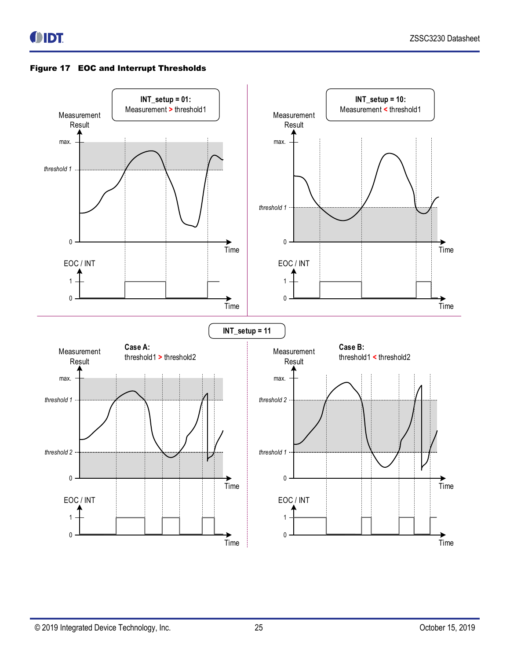<span id="page-24-0"></span>

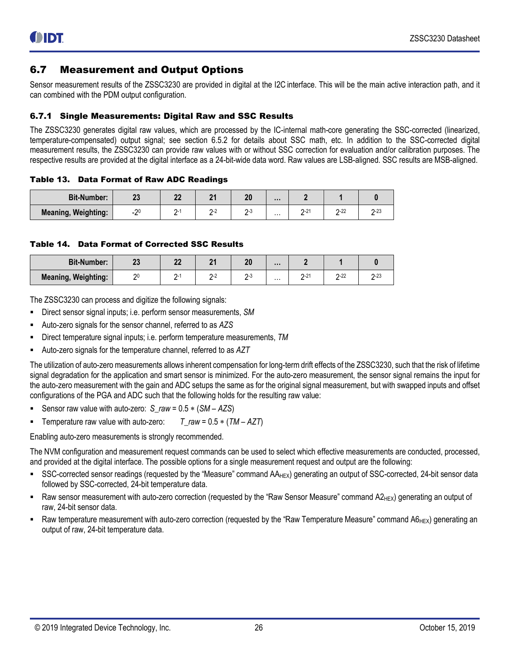### <span id="page-25-0"></span>6.7 Measurement and Output Options

Sensor measurement results of the ZSSC3230 are provided in digital at the I2C interface. This will be the main active interaction path, and it can combined with the PDM output configuration.

#### <span id="page-25-1"></span>6.7.1 Single Measurements: Digital Raw and SSC Results

The ZSSC3230 generates digital raw values, which are processed by the IC-internal math-core generating the SSC-corrected (linearized, temperature-compensated) output signal; see section [6.5.2](#page-17-0) for details about SSC math, etc. In addition to the SSC-corrected digital measurement results, the ZSSC3230 can provide raw values with or without SSC correction for evaluation and/or calibration purposes. The respective results are provided at the digital interface as a 24-bit-wide data word. Raw values are LSB-aligned. SSC results are MSB-aligned.

#### <span id="page-25-2"></span>Table 13. Data Format of Raw ADC Readings

| <b>Bit-Number:</b>         |       | n.<br>. . | n. | 10<br>ZU | $\cdots$ |         |             |      |
|----------------------------|-------|-----------|----|----------|----------|---------|-------------|------|
| <b>Meaning, Weighting:</b> | $-20$ | ר.        |    | . .      | .        | 21<br>- | $2-22$<br>- | ں ے۔ |

#### <span id="page-25-3"></span>Table 14. Data Format of Corrected SSC Results

| <b>Bit-Number:</b>         | n.<br> | n n<br>-- | л. | 20 | $\cdots$ |                      |                    |          |
|----------------------------|--------|-----------|----|----|----------|----------------------|--------------------|----------|
| <b>Meaning, Weighting:</b> |        |           | -  |    | .        | ,,,<br><u>.</u><br>- | $2-22$<br><u>.</u> | $2 - 23$ |

The ZSSC3230 can process and digitize the following signals:

- Direct sensor signal inputs; i.e. perform sensor measurements, *SM*
- Auto-zero signals for the sensor channel, referred to as *AZS*
- Direct temperature signal inputs; i.e. perform temperature measurements, *TM*
- Auto-zero signals for the temperature channel, referred to as *AZT*

The utilization of auto-zero measurements allows inherent compensation for long-term drift effects of the ZSSC3230, such that the risk of lifetime signal degradation for the application and smart sensor is minimized. For the auto-zero measurement, the sensor signal remains the input for the auto-zero measurement with the gain and ADC setups the same as for the original signal measurement, but with swapped inputs and offset configurations of the PGA and ADC such that the following holds for the resulting raw value:

- Sensor raw value with auto-zero: *S\_raw* =  $0.5 * (SM AZS)$
- Temperature raw value with auto-zero:  $T_{1}$ raw = 0.5  $*(TM AZT)$

Enabling auto-zero measurements is strongly recommended.

The NVM configuration and measurement request commands can be used to select which effective measurements are conducted, processed, and provided at the digital interface. The possible options for a single measurement request and output are the following:

- SSC-corrected sensor readings (requested by the "Measure" command AA<sub>HEX</sub>) generating an output of SSC-corrected, 24-bit sensor data followed by SSC-corrected, 24-bit temperature data.
- Raw sensor measurement with auto-zero correction (requested by the "Raw Sensor Measure" command  $A_{HEX}$ ) generating an output of raw, 24-bit sensor data.
- Raw temperature measurement with auto-zero correction (requested by the "Raw Temperature Measure" command  $A6_{HEX}$ ) generating an output of raw, 24-bit temperature data.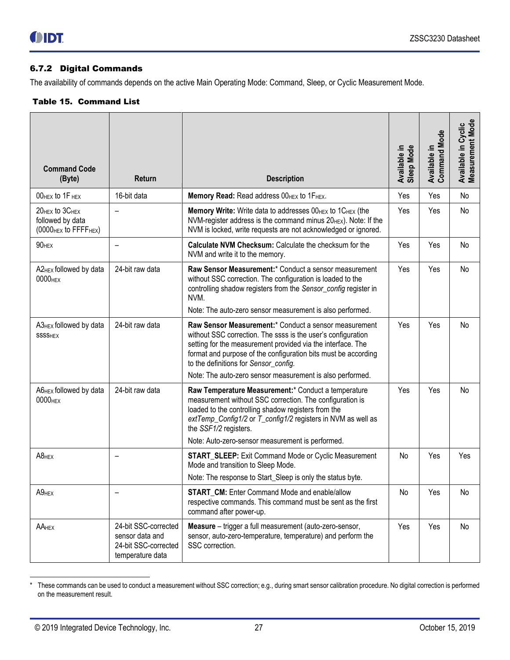#### <span id="page-26-0"></span>6.7.2 Digital Commands

The availability of commands depends on the active Main Operating Mode: Command, Sleep, or Cyclic Measurement Mode.

#### <span id="page-26-1"></span>Table 15. Command List

<span id="page-26-2"></span>

| <b>Command Code</b><br>(Byte)                                                       | Return                                                                              | <b>Description</b>                                                                                                                                                                                                                                                                                                                                                               | <b>Sleep Mode</b><br>Available in | Available in<br>Command Mode | Available in Cyclic<br>Measurement Mode |
|-------------------------------------------------------------------------------------|-------------------------------------------------------------------------------------|----------------------------------------------------------------------------------------------------------------------------------------------------------------------------------------------------------------------------------------------------------------------------------------------------------------------------------------------------------------------------------|-----------------------------------|------------------------------|-----------------------------------------|
| OOHEX to 1F HEX                                                                     | 16-bit data                                                                         | Memory Read: Read address 00HEX to 1FHEX.                                                                                                                                                                                                                                                                                                                                        | Yes                               | Yes                          | No                                      |
| 20HEX to 3CHEX<br>followed by data<br>(0000 <sub>HEX</sub> to FFFF <sub>HEX</sub> ) |                                                                                     | Memory Write: Write data to addresses 00HEX to 1CHEX (the<br>NVM-register address is the command minus 20HEX). Note: If the<br>NVM is locked, write requests are not acknowledged or ignored.                                                                                                                                                                                    | Yes                               | Yes                          | No                                      |
| 90 <sub>HEX</sub>                                                                   | $\overline{\phantom{0}}$                                                            | Calculate NVM Checksum: Calculate the checksum for the<br>NVM and write it to the memory.                                                                                                                                                                                                                                                                                        | Yes                               | Yes                          | No                                      |
| A2 <sub>HEX</sub> followed by data<br>0000 <sub>HEX</sub>                           | 24-bit raw data                                                                     | Raw Sensor Measurement:* Conduct a sensor measurement<br>without SSC correction. The configuration is loaded to the<br>controlling shadow registers from the Sensor_config register in<br>NVM.<br>Note: The auto-zero sensor measurement is also performed.                                                                                                                      | Yes                               | Yes                          | No                                      |
| $A3_{HEX}$ followed by data<br><b>SSSSHEX</b>                                       | 24-bit raw data                                                                     | Raw Sensor Measurement:* Conduct a sensor measurement<br>without SSC correction. The ssss is the user's configuration<br>setting for the measurement provided via the interface. The<br>format and purpose of the configuration bits must be according<br>to the definitions for Sensor_config.                                                                                  | Yes                               | Yes                          | No                                      |
| A6 <sub>HEX</sub> followed by data<br>0000 <sub>HEX</sub>                           | 24-bit raw data                                                                     | Note: The auto-zero sensor measurement is also performed.<br>Raw Temperature Measurement:* Conduct a temperature<br>measurement without SSC correction. The configuration is<br>loaded to the controlling shadow registers from the<br>extTemp_Config1/2 or T_config1/2 registers in NVM as well as<br>the SSF1/2 registers.<br>Note: Auto-zero-sensor measurement is performed. |                                   | Yes                          | No                                      |
| $AB$ <sub>HEX</sub>                                                                 |                                                                                     | <b>START_SLEEP:</b> Exit Command Mode or Cyclic Measurement<br>Mode and transition to Sleep Mode.<br>Note: The response to Start_Sleep is only the status byte.                                                                                                                                                                                                                  | No                                | Yes                          | Yes                                     |
| $A9$ <sub>HEX</sub>                                                                 |                                                                                     | <b>START CM: Enter Command Mode and enable/allow</b><br>respective commands. This command must be sent as the first<br>command after power-up.                                                                                                                                                                                                                                   | No                                | Yes                          | No                                      |
| AAHEX                                                                               | 24-bit SSC-corrected<br>sensor data and<br>24-bit SSC-corrected<br>temperature data | Measure - trigger a full measurement (auto-zero-sensor,<br>sensor, auto-zero-temperature, temperature) and perform the<br>SSC correction.                                                                                                                                                                                                                                        | Yes                               | Yes                          | No                                      |

<sup>\*</sup> These commands can be used to conduct a measurement without SSC correction; e.g., during smart sensor calibration procedure. No digital correction is performed on the measurement result.

l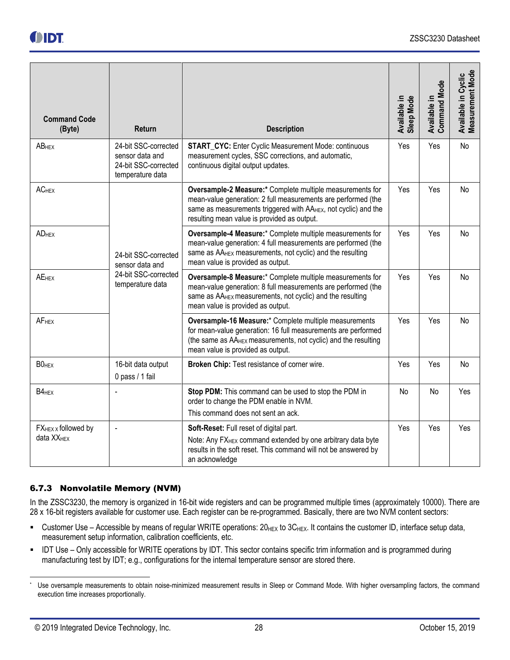<span id="page-27-1"></span>

| <b>Command Code</b><br>(Byte)                             | <b>Return</b>                                                                       | <b>Description</b>                                                                                                                                                                                                                                       | Sleep Mode<br>Available in | Available in<br>Command Mode | Available in Cyclic<br>Measurement Mode |
|-----------------------------------------------------------|-------------------------------------------------------------------------------------|----------------------------------------------------------------------------------------------------------------------------------------------------------------------------------------------------------------------------------------------------------|----------------------------|------------------------------|-----------------------------------------|
| <b>ABHEX</b>                                              | 24-bit SSC-corrected<br>sensor data and<br>24-bit SSC-corrected<br>temperature data | <b>START_CYC:</b> Enter Cyclic Measurement Mode: continuous<br>measurement cycles, SSC corrections, and automatic,<br>continuous digital output updates.                                                                                                 | Yes                        | Yes                          | No                                      |
| <b>ACHEX</b>                                              |                                                                                     | Oversample-2 Measure:* Complete multiple measurements for<br>mean-value generation: 2 full measurements are performed (the<br>same as measurements triggered with AA <sub>HEX</sub> , not cyclic) and the<br>resulting mean value is provided as output. | Yes                        | Yes                          | No                                      |
| <b>AD</b> <sub>HEX</sub>                                  | 24-bit SSC-corrected<br>sensor data and                                             | Oversample-4 Measure:* Complete multiple measurements for<br>mean-value generation: 4 full measurements are performed (the<br>same as AA <sub>HEX</sub> measurements, not cyclic) and the resulting<br>mean value is provided as output.                 | Yes                        | Yes                          | No                                      |
| <b>AEHEX</b>                                              | 24-bit SSC-corrected<br>temperature data                                            | Oversample-8 Measure:* Complete multiple measurements for<br>mean-value generation: 8 full measurements are performed (the<br>same as AA <sub>HEX</sub> measurements, not cyclic) and the resulting<br>mean value is provided as output.                 | Yes                        | Yes                          | No                                      |
| <b>AF<sub>HEX</sub></b>                                   |                                                                                     | Oversample-16 Measure:* Complete multiple measurements<br>for mean-value generation: 16 full measurements are performed<br>(the same as AA <sub>HEX</sub> measurements, not cyclic) and the resulting<br>mean value is provided as output.               | Yes                        | Yes                          | No                                      |
| BO <sub>HEX</sub>                                         | 16-bit data output<br>0 pass / 1 fail                                               | Broken Chip: Test resistance of corner wire.                                                                                                                                                                                                             | Yes                        | Yes                          | No                                      |
| B4 <sub>HEX</sub>                                         |                                                                                     | Stop PDM: This command can be used to stop the PDM in<br>order to change the PDM enable in NVM.<br>This command does not sent an ack.                                                                                                                    | No                         | No                           | Yes                                     |
| FX <sub>HEX</sub> x followed by<br>data XX <sub>HEX</sub> |                                                                                     | Soft-Reset: Full reset of digital part.<br>Note: Any FX <sub>HEX</sub> command extended by one arbitrary data byte<br>results in the soft reset. This command will not be answered by<br>an acknowledge                                                  | Yes                        | Yes                          | Yes                                     |

### <span id="page-27-0"></span>6.7.3 Nonvolatile Memory (NVM)

In the ZSSC3230, the memory is organized in 16-bit wide registers and can be programmed multiple times (approximately 10000). There are 28 x 16-bit registers available for customer use. Each register can be re-programmed. Basically, there are two NVM content sectors:

- Customer Use Accessible by means of regular WRITE operations:  $20_{\text{HEX}}$  to  $3C_{\text{HEX}}$ . It contains the customer ID, interface setup data, measurement setup information, calibration coefficients, etc.
- IDT Use Only accessible for WRITE operations by IDT. This sector contains specific trim information and is programmed during manufacturing test by IDT; e.g., configurations for the internal temperature sensor are stored there.

l

Use oversample measurements to obtain noise-minimized measurement results in Sleep or Command Mode. With higher oversampling factors, the command execution time increases proportionally.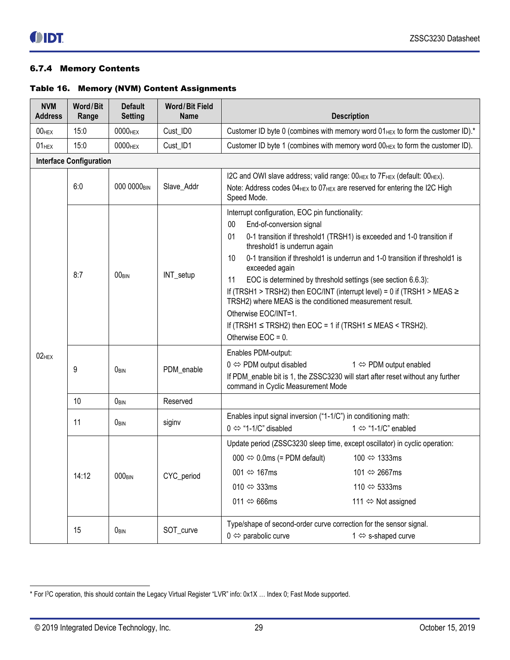### <span id="page-28-0"></span>6.7.4 Memory Contents

#### <span id="page-28-1"></span>Table 16. Memory (NVM) Content Assignments

| <b>NVM</b><br><b>Address</b> | Word/Bit<br>Range              | <b>Default</b><br><b>Setting</b> | <b>Word/Bit Field</b><br><b>Name</b> | <b>Description</b>                                                                                                                                                                                                                                                                                                                                                                                                                                                                                                                                                                                                                                        |
|------------------------------|--------------------------------|----------------------------------|--------------------------------------|-----------------------------------------------------------------------------------------------------------------------------------------------------------------------------------------------------------------------------------------------------------------------------------------------------------------------------------------------------------------------------------------------------------------------------------------------------------------------------------------------------------------------------------------------------------------------------------------------------------------------------------------------------------|
| $00$ HEX                     | 15:0                           | 0000 <sub>HEX</sub>              | Cust_ID0                             | Customer ID byte 0 (combines with memory word 01HEX to form the customer ID).*                                                                                                                                                                                                                                                                                                                                                                                                                                                                                                                                                                            |
| $01$ HEX                     | 15:0                           | 0000 <sub>HEX</sub>              | Cust_ID1                             | Customer ID byte 1 (combines with memory word 00HEX to form the customer ID).                                                                                                                                                                                                                                                                                                                                                                                                                                                                                                                                                                             |
|                              | <b>Interface Configuration</b> |                                  |                                      |                                                                                                                                                                                                                                                                                                                                                                                                                                                                                                                                                                                                                                                           |
|                              | 6:0                            | 000 0000 <sub>BIN</sub>          | Slave_Addr                           | I2C and OWI slave address; valid range: 00HEX to 7FHEX (default: 00HEX).<br>Note: Address codes 04 <sub>HEX</sub> to 07 <sub>HEX</sub> are reserved for entering the I2C High<br>Speed Mode.                                                                                                                                                                                                                                                                                                                                                                                                                                                              |
|                              | 8:7                            | $00_{\text{BIN}}$                | INT_setup                            | Interrupt configuration, EOC pin functionality:<br>00<br>End-of-conversion signal<br>0-1 transition if threshold1 (TRSH1) is exceeded and 1-0 transition if<br>01<br>threshold1 is underrun again<br>0-1 transition if threshold1 is underrun and 1-0 transition if threshold1 is<br>10<br>exceeded again<br>EOC is determined by threshold settings (see section 6.6.3):<br>11<br>If (TRSH1 > TRSH2) then EOC/INT (interrupt level) = 0 if (TRSH1 > MEAS $\ge$<br>TRSH2) where MEAS is the conditioned measurement result.<br>Otherwise EOC/INT=1.<br>If (TRSH1 $\leq$ TRSH2) then EOC = 1 if (TRSH1 $\leq$ MEAS $\leq$ TRSH2).<br>Otherwise $EOC = 0$ . |
| $02$ <sub>HEX</sub>          | 9                              | OBIN                             | PDM_enable                           | Enables PDM-output:<br>$0 \Leftrightarrow$ PDM output disabled<br>$1 \Leftrightarrow$ PDM output enabled<br>If PDM_enable bit is 1, the ZSSC3230 will start after reset without any further<br>command in Cyclic Measurement Mode                                                                                                                                                                                                                                                                                                                                                                                                                         |
|                              | 10                             | $0_{\text{BIN}}$                 | Reserved                             |                                                                                                                                                                                                                                                                                                                                                                                                                                                                                                                                                                                                                                                           |
|                              | 11                             | OBIN                             | siginv                               | Enables input signal inversion ("1-1/C") in conditioning math:<br>$0 \Leftrightarrow$ "1-1/C" disabled<br>1 $\Leftrightarrow$ "1-1/C" enabled                                                                                                                                                                                                                                                                                                                                                                                                                                                                                                             |
|                              | 14:12                          | $000_{\text{BIN}}$               | CYC_period                           | Update period (ZSSC3230 sleep time, except oscillator) in cyclic operation:<br>100 ⇔ 1333ms<br>$000 \Leftrightarrow 0.0 \text{ms}$ (= PDM default)<br>001 $\Leftrightarrow$ 167ms<br>101 ⇔ 2667ms<br>010 $\Leftrightarrow$ 333ms<br>110 $\Leftrightarrow$ 5333ms<br>011 $\Leftrightarrow$ 666ms<br>111 ⇔ Not assigned                                                                                                                                                                                                                                                                                                                                     |
|                              | 15                             | OBIN                             | SOT_curve                            | Type/shape of second-order curve correction for the sensor signal.<br>$0 \Leftrightarrow$ parabolic curve<br>1 ⇔ s-shaped curve                                                                                                                                                                                                                                                                                                                                                                                                                                                                                                                           |

 $\overline{a}$ 

<sup>\*</sup> For I<sup>3</sup>C operation, this should contain the Legacy Virtual Register "LVR" info: 0x1X … Index 0; Fast Mode supported.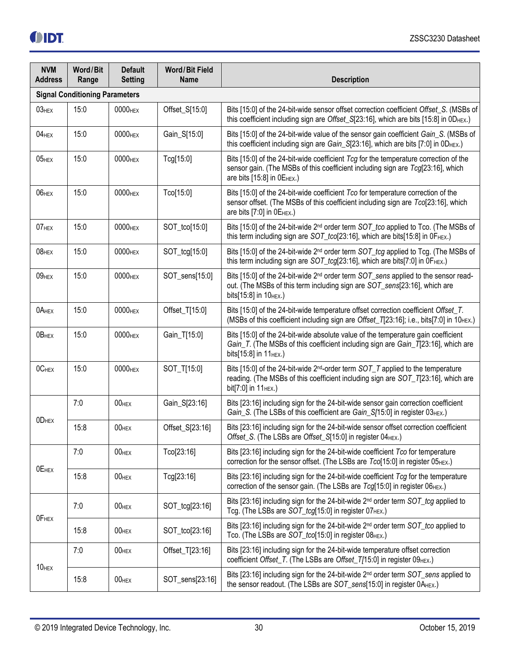| <b>NVM</b><br><b>Address</b> | Word/Bit<br>Range                     | <b>Default</b><br><b>Setting</b> | <b>Word/Bit Field</b><br><b>Name</b> | <b>Description</b>                                                                                                                                                                                                   |  |  |  |
|------------------------------|---------------------------------------|----------------------------------|--------------------------------------|----------------------------------------------------------------------------------------------------------------------------------------------------------------------------------------------------------------------|--|--|--|
|                              | <b>Signal Conditioning Parameters</b> |                                  |                                      |                                                                                                                                                                                                                      |  |  |  |
| $03$ <sub>HEX</sub>          | 15:0                                  | 0000 <sub>HEX</sub>              | Offset_S[15:0]                       | Bits [15:0] of the 24-bit-wide sensor offset correction coefficient Offset_S. (MSBs of<br>this coefficient including sign are Offset_S[23:16], which are bits [15:8] in 0DHEX.)                                      |  |  |  |
| $04$ <sub>HEX</sub>          | 15:0                                  | 0000 <sub>HEX</sub>              | Gain_S[15:0]                         | Bits [15:0] of the 24-bit-wide value of the sensor gain coefficient Gain_S. (MSBs of<br>this coefficient including sign are Gain_S[23:16], which are bits [7:0] in 0D <sub>HEX</sub> .)                              |  |  |  |
| $05$ HEX                     | 15:0                                  | 0000 <sub>HEX</sub>              | Tcg[15:0]                            | Bits [15:0] of the 24-bit-wide coefficient Tcg for the temperature correction of the<br>sensor gain. (The MSBs of this coefficient including sign are Tcg[23:16], which<br>are bits [15:8] in 0E <sub>HEX</sub> .)   |  |  |  |
| $06$ <sub>HEX</sub>          | 15:0                                  | 0000 <sub>HEX</sub>              | Tco[15:0]                            | Bits [15:0] of the 24-bit-wide coefficient Tco for temperature correction of the<br>sensor offset. (The MSBs of this coefficient including sign are Tco[23:16], which<br>are bits $[7:0]$ in $0E_{HEX}$ .)           |  |  |  |
| 07 <sub>HEX</sub>            | 15:0                                  | 0000 <sub>HEX</sub>              | SOT_tco[15:0]                        | Bits [15:0] of the 24-bit-wide 2 <sup>nd</sup> order term SOT_tco applied to Tco. (The MSBs of<br>this term including sign are SOT_tco[23:16], which are bits[15:8] in 0FHEX.)                                       |  |  |  |
| $08$ HEX                     | 15:0                                  | 0000 <sub>HEX</sub>              | SOT_tcg[15:0]                        | Bits [15:0] of the 24-bit-wide 2 <sup>nd</sup> order term SOT_tcg applied to Tcg. (The MSBs of<br>this term including sign are SOT_tcg[23:16], which are bits[7:0] in 0FHEX.)                                        |  |  |  |
| $09$ <sub>HEX</sub>          | 15:0                                  | 0000 <sub>HEX</sub>              | SOT_sens[15:0]                       | Bits [15:0] of the 24-bit-wide 2 <sup>nd</sup> order term SOT_sens applied to the sensor read-<br>out. (The MSBs of this term including sign are SOT_sens[23:16], which are<br>bits[15:8] in 10HEX.)                 |  |  |  |
| 0AHEX                        | 15:0                                  | 0000 <sub>HEX</sub>              | Offset_T[15:0]                       | Bits [15:0] of the 24-bit-wide temperature offset correction coefficient Offset_T.<br>(MSBs of this coefficient including sign are Offset_T[23:16]; i.e., bits[7:0] in 10HEX.)                                       |  |  |  |
| OB <sub>HEX</sub>            | 15:0                                  | 0000 <sub>HEX</sub>              | Gain_T[15:0]                         | Bits [15:0] of the 24-bit-wide absolute value of the temperature gain coefficient<br>Gain_T. (The MSBs of this coefficient including sign are Gain_T[23:16], which are<br>bits[15:8] in 11HEX.)                      |  |  |  |
| 0C <sub>HEX</sub>            | 15:0                                  | 0000 <sub>HEX</sub>              | SOT_T[15:0]                          | Bits [15:0] of the 24-bit-wide 2 <sup>nd</sup> -order term SOT_T applied to the temperature<br>reading. (The MSBs of this coefficient including sign are SOT_T[23:16], which are<br>bit[7:0] in 11 <sub>HEX</sub> .) |  |  |  |
| 0D <sub>HEX</sub>            | 7:0                                   | 00 <sub>HEX</sub>                | Gain_S[23:16]                        | Bits [23:16] including sign for the 24-bit-wide sensor gain correction coefficient<br>Gain_S. (The LSBs of this coefficient are Gain_S[15:0] in register 03HEX.)                                                     |  |  |  |
|                              | 15:8                                  | $00$ HEX                         | Offset_S[23:16]                      | Bits [23:16] including sign for the 24-bit-wide sensor offset correction coefficient<br>Offset_S. (The LSBs are Offset_S[15:0] in register 04HEX.)                                                                   |  |  |  |
| OE <sub>HEX</sub>            | 7:0                                   | $00$ HEX                         | Tco[23:16]                           | Bits [23:16] including sign for the 24-bit-wide coefficient Tco for temperature<br>correction for the sensor offset. (The LSBs are Tco[15:0] in register 05 <sub>HEX</sub> .)                                        |  |  |  |
|                              | 15:8                                  | $00$ HEX                         | Tcg[23:16]                           | Bits [23:16] including sign for the 24-bit-wide coefficient $Tcg$ for the temperature<br>correction of the sensor gain. (The LSBs are Tcg[15:0] in register 06HEX.)                                                  |  |  |  |
| OF <sub>HEX</sub>            | 7:0                                   | $00$ HEX                         | SOT_tcg[23:16]                       | Bits [23:16] including sign for the 24-bit-wide 2 <sup>nd</sup> order term SOT_tcg applied to<br>Tcg. (The LSBs are SOT_tcg[15:0] in register 07 HEX.)                                                               |  |  |  |
|                              | 15:8                                  | $00$ HEX                         | SOT_tco[23:16]                       | Bits [23:16] including sign for the 24-bit-wide 2 <sup>nd</sup> order term SOT_tco applied to<br>Tco. (The LSBs are SOT_tco[15:0] in register 08HEX.)                                                                |  |  |  |
| 10 <sub>HEX</sub>            | 7:0                                   | $00$ HEX                         | Offset_T[23:16]                      | Bits [23:16] including sign for the 24-bit-wide temperature offset correction<br>coefficient Offset_T. (The LSBs are Offset_T[15:0] in register 09 <sub>HEX</sub> .)                                                 |  |  |  |
|                              | 15:8                                  | $00$ HEX                         | SOT_sens[23:16]                      | Bits [23:16] including sign for the 24-bit-wide 2 <sup>nd</sup> order term SOT_sens applied to<br>the sensor readout. (The LSBs are SOT_sens[15:0] in register 0AHEX.)                                               |  |  |  |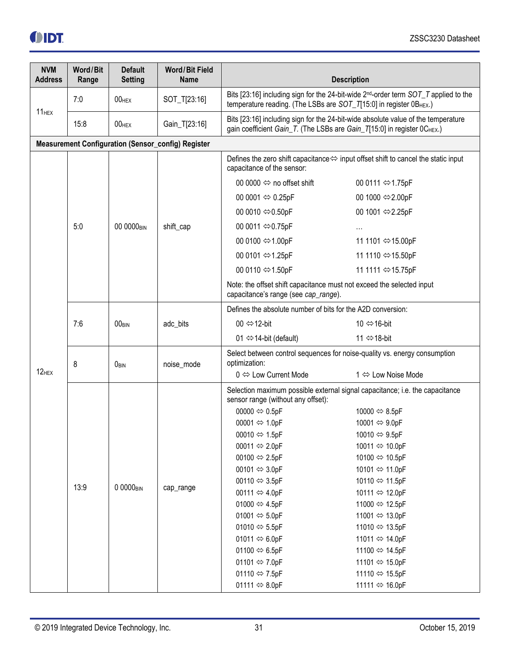| <b>NVM</b><br><b>Address</b> | Word/Bit<br>Range | <b>Default</b><br><b>Setting</b> | <b>Word/Bit Field</b><br><b>Name</b>                      | <b>Description</b>                                                                                                                                                     |                                                                                   |  |  |
|------------------------------|-------------------|----------------------------------|-----------------------------------------------------------|------------------------------------------------------------------------------------------------------------------------------------------------------------------------|-----------------------------------------------------------------------------------|--|--|
|                              | 7:0               | 00 <sub>HEX</sub>                | SOT_T[23:16]                                              | Bits [23:16] including sign for the 24-bit-wide 2 <sup>nd</sup> -order term SOT_T applied to the<br>temperature reading. (The LSBs are SOT_T[15:0] in register 0BHEX.) |                                                                                   |  |  |
| 11 <sub>HEX</sub>            | 15:8              | $00$ HEX                         | Gain_T[23:16]                                             | gain coefficient Gain_T. (The LSBs are Gain_T[15:0] in register 0CHEX.)                                                                                                | Bits [23:16] including sign for the 24-bit-wide absolute value of the temperature |  |  |
|                              |                   |                                  | <b>Measurement Configuration (Sensor_config) Register</b> |                                                                                                                                                                        |                                                                                   |  |  |
|                              |                   |                                  |                                                           | Defines the zero shift capacitance $\Leftrightarrow$ input offset shift to cancel the static input<br>capacitance of the sensor:                                       |                                                                                   |  |  |
|                              |                   |                                  |                                                           | 00 0000 $\Leftrightarrow$ no offset shift                                                                                                                              | 00 0111 ⇔1.75pF                                                                   |  |  |
|                              | 5:0               |                                  |                                                           | 00 0001 ⇔ 0.25pF                                                                                                                                                       | 00 1000 ⇔2.00pF                                                                   |  |  |
|                              |                   |                                  |                                                           | 00 0010 ⇔0.50pF                                                                                                                                                        | 00 1001 ⇔2.25pF                                                                   |  |  |
|                              |                   | 00 0000 <sub>BIN</sub>           | shift_cap                                                 | 00 0011 ⇔0.75pF                                                                                                                                                        |                                                                                   |  |  |
|                              |                   |                                  | 00 0100 ⇔1.00pF                                           | 11 1101 ⇔15.00pF                                                                                                                                                       |                                                                                   |  |  |
|                              |                   |                                  |                                                           | 00 0101 ⇔1.25pF                                                                                                                                                        | 11 1110 ⇔15.50pF                                                                  |  |  |
|                              |                   |                                  |                                                           | 00 0110 ⇔1.50pF                                                                                                                                                        | 11 1111 ⇔15.75pF                                                                  |  |  |
|                              |                   |                                  |                                                           | Note: the offset shift capacitance must not exceed the selected input<br>capacitance's range (see cap_range).                                                          |                                                                                   |  |  |
|                              |                   |                                  |                                                           | Defines the absolute number of bits for the A2D conversion:                                                                                                            |                                                                                   |  |  |
|                              | 7:6               | 00 <sub>BIN</sub>                | adc_bits                                                  | 00 ⇔12-bit                                                                                                                                                             | 10 ⇔16-bit                                                                        |  |  |
|                              |                   |                                  |                                                           | 01 $\Leftrightarrow$ 14-bit (default)                                                                                                                                  | 11 ⇔18-bit                                                                        |  |  |
|                              | 8                 | OBIN                             | noise_mode                                                | Select between control sequences for noise-quality vs. energy consumption<br>optimization:                                                                             |                                                                                   |  |  |
| $12$ <sub>HEX</sub>          |                   |                                  |                                                           | $0 \Leftrightarrow$ Low Current Mode                                                                                                                                   | 1 ⇔ Low Noise Mode                                                                |  |  |
|                              |                   |                                  |                                                           | Selection maximum possible external signal capacitance; i.e. the capacitance<br>sensor range (without any offset):                                                     |                                                                                   |  |  |
|                              |                   |                                  |                                                           | 00000 $\Leftrightarrow$ 0.5pF                                                                                                                                          | 10000 ⇔ 8.5pF                                                                     |  |  |
|                              |                   |                                  |                                                           | 00001 ⇔ 1.0pF                                                                                                                                                          | 10001 ⇔ 9.0pF                                                                     |  |  |
|                              |                   |                                  |                                                           | 00010 ⇔ 1.5pF                                                                                                                                                          | 10010 ⇔ 9.5pF                                                                     |  |  |
|                              |                   |                                  |                                                           | 00011 ⇔ 2.0pF<br>00100 $\Leftrightarrow$ 2.5pF                                                                                                                         | 10011 ⇔ 10.0pF<br>10100 ⇔ 10.5pF                                                  |  |  |
|                              |                   |                                  |                                                           | 00101 $\Leftrightarrow$ 3.0pF                                                                                                                                          | 10101 ⇔ 11.0pF                                                                    |  |  |
|                              |                   |                                  |                                                           | 00110 $\Leftrightarrow$ 3.5pF                                                                                                                                          | 10110 ⇔ 11.5pF                                                                    |  |  |
|                              | 13:9              | 0 0000 <sub>BIN</sub>            | cap_range                                                 | 00111 $\Leftrightarrow$ 4.0pF                                                                                                                                          | 10111 ⇔ 12.0pF                                                                    |  |  |
|                              |                   |                                  | 01000 $\Leftrightarrow$ 4.5pF                             | 11000 ⇔ 12.5pF                                                                                                                                                         |                                                                                   |  |  |
|                              |                   |                                  |                                                           | 01001 $\Leftrightarrow$ 5.0pF                                                                                                                                          | 11001 ⇔ 13.0pF                                                                    |  |  |
|                              |                   |                                  |                                                           | 01010 $\Leftrightarrow$ 5.5pF                                                                                                                                          | 11010 ⇔ 13.5pF                                                                    |  |  |
|                              |                   |                                  |                                                           | 01011 $\Leftrightarrow$ 6.0pF                                                                                                                                          | 11011 ⇔ 14.0pF                                                                    |  |  |
|                              |                   |                                  |                                                           | 01100 $\Leftrightarrow$ 6.5pF                                                                                                                                          | 11100 ⇔ 14.5pF                                                                    |  |  |
|                              |                   |                                  |                                                           | 01101 $\Leftrightarrow$ 7.0pF                                                                                                                                          | 11101 ⇔ 15.0pF                                                                    |  |  |
|                              |                   |                                  |                                                           | 01110 $\Leftrightarrow$ 7.5pF                                                                                                                                          | 11110 ⇔ 15.5pF                                                                    |  |  |
|                              |                   |                                  |                                                           | 01111 $\Leftrightarrow$ 8.0pF                                                                                                                                          | 11111 ⇔ 16.0pF                                                                    |  |  |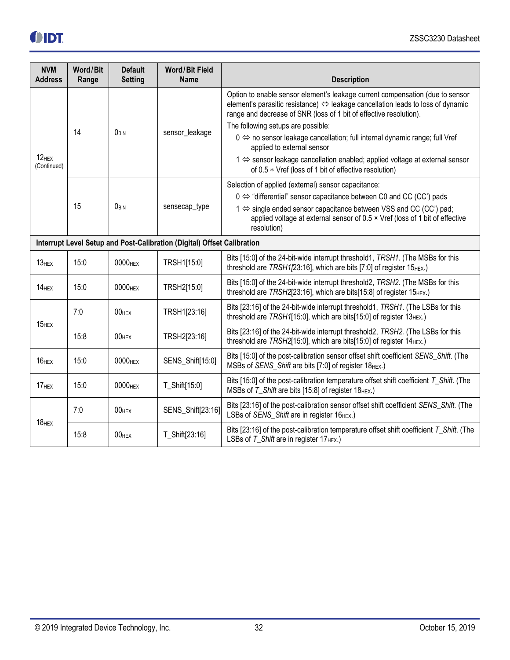|--|

| <b>NVM</b><br><b>Address</b>                                            | Word/Bit<br>Range | <b>Default</b><br><b>Setting</b> | <b>Word/Bit Field</b><br><b>Name</b> | <b>Description</b>                                                                                                                                                                                                                     |  |
|-------------------------------------------------------------------------|-------------------|----------------------------------|--------------------------------------|----------------------------------------------------------------------------------------------------------------------------------------------------------------------------------------------------------------------------------------|--|
|                                                                         |                   |                                  |                                      | Option to enable sensor element's leakage current compensation (due to sensor<br>element's parasitic resistance) ⇔ leakage cancellation leads to loss of dynamic<br>range and decrease of SNR (loss of 1 bit of effective resolution). |  |
|                                                                         | 14                | OBIN                             | sensor_leakage                       | The following setups are possible:<br>$0 \Leftrightarrow$ no sensor leakage cancellation; full internal dynamic range; full Vref                                                                                                       |  |
| $12$ HEX<br>(Continued)                                                 |                   |                                  |                                      | applied to external sensor<br>1 ⇔ sensor leakage cancellation enabled; applied voltage at external sensor<br>of 0.5 * Vref (loss of 1 bit of effective resolution)                                                                     |  |
|                                                                         |                   |                                  |                                      | Selection of applied (external) sensor capacitance:                                                                                                                                                                                    |  |
|                                                                         | 15                | OBIN                             | sensecap_type                        | $0 \Leftrightarrow$ "differential" sensor capacitance between C0 and CC (CC') pads                                                                                                                                                     |  |
|                                                                         |                   |                                  |                                      | 1 ⇔ single ended sensor capacitance between VSS and CC (CC') pad;<br>applied voltage at external sensor of 0.5 x Vref (loss of 1 bit of effective<br>resolution)                                                                       |  |
| Interrupt Level Setup and Post-Calibration (Digital) Offset Calibration |                   |                                  |                                      |                                                                                                                                                                                                                                        |  |
| $13$ <sub>HEX</sub>                                                     | 15:0              | 0000 <sub>HEX</sub>              | TRSH1[15:0]                          | Bits [15:0] of the 24-bit-wide interrupt threshold1, TRSH1. (The MSBs for this<br>threshold are $TRSH1/23:16$ ], which are bits [7:0] of register $15_{HEX}$ .)                                                                        |  |
| 14 <sub>HEX</sub>                                                       | 15:0              | 0000 <sub>HEX</sub>              | TRSH2[15:0]                          | Bits [15:0] of the 24-bit-wide interrupt threshold2, TRSH2. (The MSBs for this<br>threshold are TRSH2[23:16], which are bits[15:8] of register 15HEX.)                                                                                 |  |
|                                                                         | 7:0               | $00$ HEX                         | TRSH1[23:16]                         | Bits [23:16] of the 24-bit-wide interrupt threshold1, TRSH1. (The LSBs for this<br>threshold are TRSH1[15:0], which are bits[15:0] of register 13HEX.)                                                                                 |  |
| $15$ HEX                                                                | 15:8              | $00$ HEX                         | TRSH2[23:16]                         | Bits [23:16] of the 24-bit-wide interrupt threshold2, TRSH2. (The LSBs for this<br>threshold are TRSH2[15:0], which are bits[15:0] of register 14 <sub>HEX</sub> .)                                                                    |  |
| $16$ HEX                                                                | 15:0              | 0000 <sub>HEX</sub>              | SENS_Shift[15:0]                     | Bits [15:0] of the post-calibration sensor offset shift coefficient SENS_Shift. (The<br>MSBs of SENS_Shift are bits [7:0] of register 18 <sub>HEX</sub> .)                                                                             |  |
| 17 <sub>HEX</sub>                                                       | 15:0              | 0000 <sub>HEX</sub>              | T_Shift[15:0]                        | Bits [15:0] of the post-calibration temperature offset shift coefficient T_Shift. (The<br>MSBs of T_Shift are bits [15:8] of register 18HEX.)                                                                                          |  |
| $18$ HEX                                                                | 7:0               | $00$ HEX                         | SENS_Shift[23:16]                    | Bits [23:16] of the post-calibration sensor offset shift coefficient SENS_Shift. (The<br>LSBs of SENS_Shift are in register 16HEX.)                                                                                                    |  |
|                                                                         | 15:8              | $00$ HEX                         | T_Shift[23:16]                       | Bits [23:16] of the post-calibration temperature offset shift coefficient T_Shift. (The<br>LSBs of T_Shift are in register 17HEX.)                                                                                                     |  |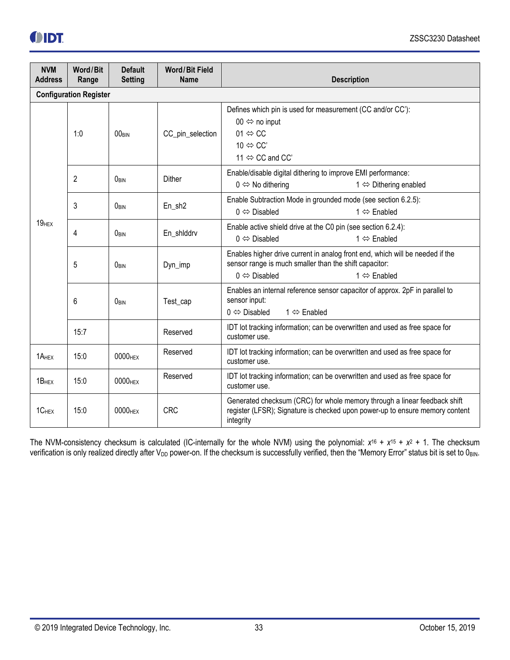

| <b>NVM</b><br><b>Address</b>  | Word/Bit<br>Range             | <b>Default</b><br><b>Setting</b> | <b>Word/Bit Field</b><br><b>Name</b>                                                                                                                                                  | <b>Description</b>                                                                                                                                                                                     |  |
|-------------------------------|-------------------------------|----------------------------------|---------------------------------------------------------------------------------------------------------------------------------------------------------------------------------------|--------------------------------------------------------------------------------------------------------------------------------------------------------------------------------------------------------|--|
|                               | <b>Configuration Register</b> |                                  |                                                                                                                                                                                       |                                                                                                                                                                                                        |  |
| 1:0                           | 00 <sub>RIN</sub>             | CC_pin_selection                 | Defines which pin is used for measurement (CC and/or CC'):<br>00 $\Leftrightarrow$ no input<br>01 $\Leftrightarrow$ CC<br>10 $\Leftrightarrow$ CC'<br>11 $\Leftrightarrow$ CC and CC' |                                                                                                                                                                                                        |  |
|                               | 2                             | OBIN                             | Dither                                                                                                                                                                                | Enable/disable digital dithering to improve EMI performance:<br>$0 \Leftrightarrow$ No dithering<br>$1 \Leftrightarrow$ Dithering enabled                                                              |  |
|                               | 3                             | ORIN                             | En_sh2                                                                                                                                                                                | Enable Subtraction Mode in grounded mode (see section 6.2.5):<br>$0 \Leftrightarrow$ Disabled<br>$1 \Leftrightarrow$ Enabled                                                                           |  |
| $19$ <sub>HEX</sub><br>4<br>5 | OBIN                          | En_shlddrv                       | Enable active shield drive at the C0 pin (see section 6.2.4):<br>$0 \Leftrightarrow$ Disabled<br>$1 \Leftrightarrow$ Enabled                                                          |                                                                                                                                                                                                        |  |
|                               |                               | OBIN                             | Dyn_imp                                                                                                                                                                               | Enables higher drive current in analog front end, which will be needed if the<br>sensor range is much smaller than the shift capacitor:<br>$0 \Leftrightarrow$ Disabled<br>$1 \Leftrightarrow$ Enabled |  |
|                               | 6                             | OBIN                             | Test_cap                                                                                                                                                                              | Enables an internal reference sensor capacitor of approx. 2pF in parallel to<br>sensor input:<br>$0 \Leftrightarrow$ Disabled<br>$1 \Leftrightarrow$ Enabled                                           |  |
|                               | 15:7                          |                                  | Reserved                                                                                                                                                                              | IDT lot tracking information; can be overwritten and used as free space for<br>customer use.                                                                                                           |  |
| 1A <sub>HEX</sub>             | 15:0                          | 0000 <sub>HEX</sub>              | Reserved                                                                                                                                                                              | IDT lot tracking information; can be overwritten and used as free space for<br>customer use.                                                                                                           |  |
| 1B <sub>HEX</sub>             | 15:0                          | 0000 <sub>HEX</sub>              | Reserved                                                                                                                                                                              | IDT lot tracking information; can be overwritten and used as free space for<br>customer use.                                                                                                           |  |
| 1CHEX                         | 15:0                          | 0000 <sub>HEX</sub>              | <b>CRC</b>                                                                                                                                                                            | Generated checksum (CRC) for whole memory through a linear feedback shift<br>register (LFSR); Signature is checked upon power-up to ensure memory content<br>integrity                                 |  |

The NVM-consistency checksum is calculated (IC-internally for the whole NVM) using the polynomial:  $x^{16} + x^{15} + x^{2} + 1$ . The checksum verification is only realized directly after V<sub>DD</sub> power-on. If the checksum is successfully verified, then the "Memory Error" status bit is set to OBIN.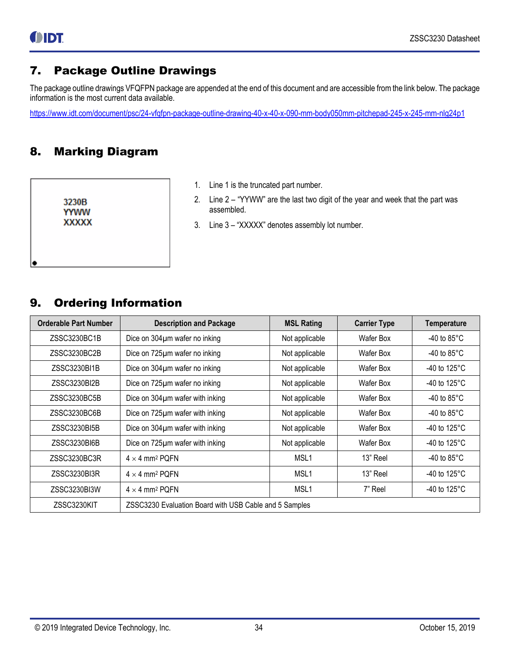### <span id="page-33-0"></span>7. Package Outline Drawings

The package outline drawings VFQFPN package are appended at the end of this document and are accessible from the link below. The package information is the most current data available.

<span id="page-33-1"></span><https://www.idt.com/document/psc/24-vfqfpn-package-outline-drawing-40-x-40-x-090-mm-body050mm-pitchepad-245-x-245-mm-nlg24p1>

## 8. Marking Diagram

3230B **YYWW XXXXX** 

- 1. Line 1 is the truncated part number.
- 2. Line 2 "YYWW" are the last two digit of the year and week that the part was assembled.
- 3. Line 3 "XXXXX" denotes assembly lot number.

### <span id="page-33-2"></span>9. Ordering Information

| <b>Orderable Part Number</b> | <b>Description and Package</b>                         | <b>MSL Rating</b> | <b>Carrier Type</b> | <b>Temperature</b>     |  |  |
|------------------------------|--------------------------------------------------------|-------------------|---------------------|------------------------|--|--|
| ZSSC3230BC1B                 | Dice on 304µm wafer no inking                          | Not applicable    | <b>Wafer Box</b>    | -40 to $85^{\circ}$ C  |  |  |
| ZSSC3230BC2B                 | Dice on 725µm wafer no inking                          | Not applicable    | Wafer Box           | -40 to $85^{\circ}$ C  |  |  |
| ZSSC3230BI1B                 | Dice on 304µm wafer no inking                          | Not applicable    | Wafer Box           | -40 to 125 $\degree$ C |  |  |
| ZSSC3230BI2B                 | Dice on 725µm wafer no inking                          | Not applicable    | Wafer Box           | -40 to 125 $\degree$ C |  |  |
| ZSSC3230BC5B                 | Dice on 304µm wafer with inking                        | Not applicable    | Wafer Box           | -40 to 85 $^{\circ}$ C |  |  |
| ZSSC3230BC6B                 | Dice on 725µm wafer with inking                        | Not applicable    | Wafer Box           | -40 to $85^{\circ}$ C  |  |  |
| ZSSC3230BI5B                 | Dice on 304µm wafer with inking                        | Not applicable    | Wafer Box           | -40 to 125 $\degree$ C |  |  |
| ZSSC3230BI6B                 | Dice on 725um wafer with inking                        | Not applicable    | Wafer Box           | -40 to 125 $\degree$ C |  |  |
| ZSSC3230BC3R                 | $4 \times 4$ mm <sup>2</sup> PQFN                      | MSL <sub>1</sub>  | 13" Reel            | -40 to $85^{\circ}$ C  |  |  |
| ZSSC3230BI3R                 | $4 \times 4$ mm <sup>2</sup> PQFN                      | MSL <sub>1</sub>  | 13" Reel            | -40 to $125^{\circ}$ C |  |  |
| ZSSC3230BI3W                 | $4 \times 4$ mm <sup>2</sup> PQFN                      | MSL <sub>1</sub>  | 7" Reel             | -40 to 125 $\degree$ C |  |  |
| ZSSC3230KIT                  | ZSSC3230 Evaluation Board with USB Cable and 5 Samples |                   |                     |                        |  |  |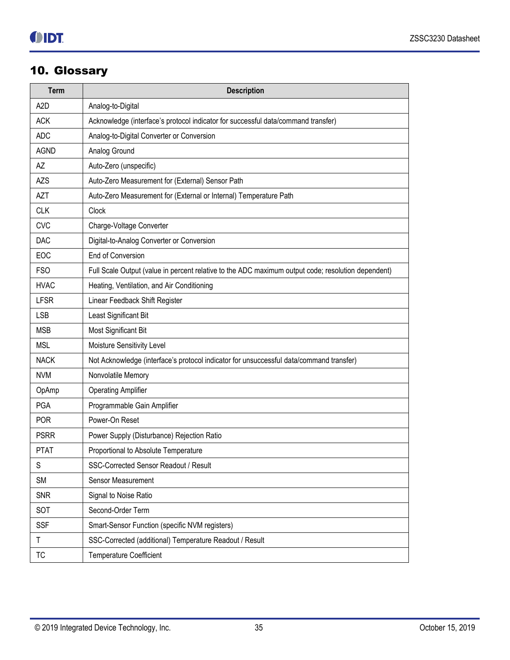## <span id="page-34-0"></span>10. Glossary

| <b>Term</b>      | <b>Description</b>                                                                                 |
|------------------|----------------------------------------------------------------------------------------------------|
| A <sub>2</sub> D | Analog-to-Digital                                                                                  |
| <b>ACK</b>       | Acknowledge (interface's protocol indicator for successful data/command transfer)                  |
| <b>ADC</b>       | Analog-to-Digital Converter or Conversion                                                          |
| <b>AGND</b>      | Analog Ground                                                                                      |
| AZ               | Auto-Zero (unspecific)                                                                             |
| <b>AZS</b>       | Auto-Zero Measurement for (External) Sensor Path                                                   |
| <b>AZT</b>       | Auto-Zero Measurement for (External or Internal) Temperature Path                                  |
| <b>CLK</b>       | Clock                                                                                              |
| <b>CVC</b>       | Charge-Voltage Converter                                                                           |
| <b>DAC</b>       | Digital-to-Analog Converter or Conversion                                                          |
| EOC              | End of Conversion                                                                                  |
| <b>FSO</b>       | Full Scale Output (value in percent relative to the ADC maximum output code; resolution dependent) |
| <b>HVAC</b>      | Heating, Ventilation, and Air Conditioning                                                         |
| <b>LFSR</b>      | Linear Feedback Shift Register                                                                     |
| <b>LSB</b>       | Least Significant Bit                                                                              |
| <b>MSB</b>       | Most Significant Bit                                                                               |
| <b>MSL</b>       | Moisture Sensitivity Level                                                                         |
| <b>NACK</b>      | Not Acknowledge (interface's protocol indicator for unsuccessful data/command transfer)            |
| <b>NVM</b>       | Nonvolatile Memory                                                                                 |
| OpAmp            | <b>Operating Amplifier</b>                                                                         |
| <b>PGA</b>       | Programmable Gain Amplifier                                                                        |
| <b>POR</b>       | Power-On Reset                                                                                     |
| <b>PSRR</b>      | Power Supply (Disturbance) Rejection Ratio                                                         |
| <b>PTAT</b>      | Proportional to Absolute Temperature                                                               |
| S                | SSC-Corrected Sensor Readout / Result                                                              |
| <b>SM</b>        | Sensor Measurement                                                                                 |
| <b>SNR</b>       | Signal to Noise Ratio                                                                              |
| SOT              | Second-Order Term                                                                                  |
| <b>SSF</b>       | Smart-Sensor Function (specific NVM registers)                                                     |
| T                | SSC-Corrected (additional) Temperature Readout / Result                                            |
| ТC               | <b>Temperature Coefficient</b>                                                                     |